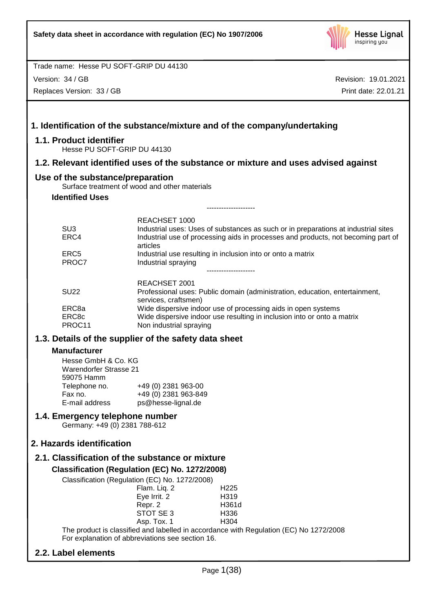

Version: 34 / GB

Replaces Version: 33 / GB

Revision: 19.01.2021 Print date: 22.01.21

|                                                                  | 1. Identification of the substance/mixture and of the company/undertaking                                                                                                                            |
|------------------------------------------------------------------|------------------------------------------------------------------------------------------------------------------------------------------------------------------------------------------------------|
| 1.1. Product identifier<br>Hesse PU SOFT-GRIP DU 44130           |                                                                                                                                                                                                      |
|                                                                  | 1.2. Relevant identified uses of the substance or mixture and uses advised against                                                                                                                   |
| Use of the substance/preparation                                 | Surface treatment of wood and other materials                                                                                                                                                        |
| <b>Identified Uses</b>                                           |                                                                                                                                                                                                      |
|                                                                  | ------------------                                                                                                                                                                                   |
| SU <sub>3</sub><br>ERC4                                          | REACHSET 1000<br>Industrial uses: Uses of substances as such or in preparations at industrial sites<br>Industrial use of processing aids in processes and products, not becoming part of<br>articles |
| ERC <sub>5</sub><br>PROC7                                        | Industrial use resulting in inclusion into or onto a matrix<br>Industrial spraying                                                                                                                   |
| <b>SU22</b>                                                      | REACHSET 2001<br>Professional uses: Public domain (administration, education, entertainment,<br>services, craftsmen)                                                                                 |
| ERC8a<br>ERC8c<br>PROC11                                         | Wide dispersive indoor use of processing aids in open systems<br>Wide dispersive indoor use resulting in inclusion into or onto a matrix<br>Non industrial spraying                                  |
|                                                                  | 1.3. Details of the supplier of the safety data sheet                                                                                                                                                |
| <b>Manufacturer</b><br>Hesse GmbH & Co. KG                       |                                                                                                                                                                                                      |
| <b>Warendorfer Strasse 21</b><br>59075 Hamm                      |                                                                                                                                                                                                      |
| Telephone no.<br>Fax no.<br>E-mail address                       | +49 (0) 2381 963-00<br>+49 (0) 2381 963-849<br>ps@hesse-lignal.de                                                                                                                                    |
| 1.4. Emergency telephone number<br>Germany: +49 (0) 2381 788-612 |                                                                                                                                                                                                      |
| 2. Hazards identification                                        |                                                                                                                                                                                                      |
|                                                                  | 2.1. Classification of the substance or mixture                                                                                                                                                      |
|                                                                  | Classification (Regulation (EC) No. 1272/2008)                                                                                                                                                       |
|                                                                  | Classification (Regulation (EC) No. 1272/2008)<br>Flam. Liq. 2<br>H <sub>225</sub><br>Eye Irrit. 2<br>H319                                                                                           |
|                                                                  | H361d<br>Repr. 2<br>STOT SE 3<br>H336<br>Asp. Tox. 1<br>H304                                                                                                                                         |
|                                                                  | The product is classified and labelled in accordance with Regulation (EC) No 1272/2008<br>For explanation of abbreviations see section 16.                                                           |

# **2.2. Label elements**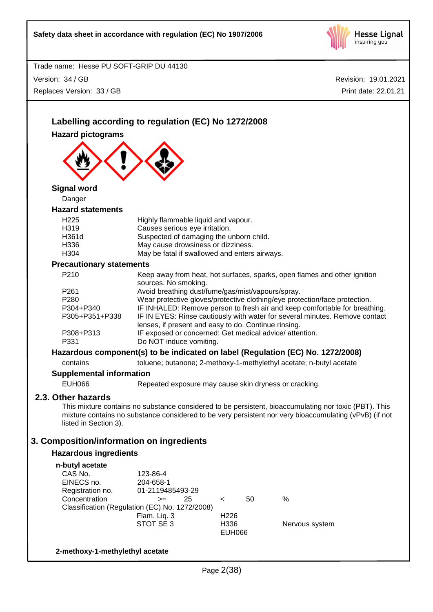

Revision: 19.01.2021

Trade name: Hesse PU SOFT-GRIP DU 44130 Version: 34 / GB Replaces Version: 33 / GB

**Hazard pictograms**

**Hazard statements**

**Signal word** Danger

**2.3. Other hazards**

listed in Section 3).

**n-butyl acetate**

Print date: 22.01.21 **Labelling according to regulation (EC) No 1272/2008** H225 Highly flammable liquid and vapour. H319 Causes serious eye irritation. H361d Suspected of damaging the unborn child. H336 May cause drowsiness or dizziness. H304 May be fatal if swallowed and enters airways. **Precautionary statements** P210 Keep away from heat, hot surfaces, sparks, open flames and other ignition sources. No smoking. P261 Avoid breathing dust/fume/gas/mist/vapours/spray. P280 Wear protective gloves/protective clothing/eye protection/face protection. P304+P340 IF INHALED: Remove person to fresh air and keep comfortable for breathing. P305+P351+P338 IF IN EYES: Rinse cautiously with water for several minutes. Remove contact lenses, if present and easy to do. Continue rinsing. P308+P313 IF exposed or concerned: Get medical advice/ attention. P331 Do NOT induce vomiting. **Hazardous component(s) to be indicated on label (Regulation (EC) No. 1272/2008)** contains toluene; butanone; 2-methoxy-1-methylethyl acetate; n-butyl acetate **Supplemental information** EUH066 Repeated exposure may cause skin dryness or cracking. This mixture contains no substance considered to be persistent, bioaccumulating nor toxic (PBT). This mixture contains no substance considered to be very persistent nor very bioaccumulating (vPvB) (if not **3. Composition/information on ingredients Hazardous ingredients** CAS No. 123-86-4 EINECS no. 204-658-1 Registration no. 01-2119485493-29 Concentration >= 25 < 50 % Classification (Regulation (EC) No. 1272/2008) Flam. Liq. 3 H226

#### **2-methoxy-1-methylethyl acetate**

STOT SE 3 H336 Nervous system EUH066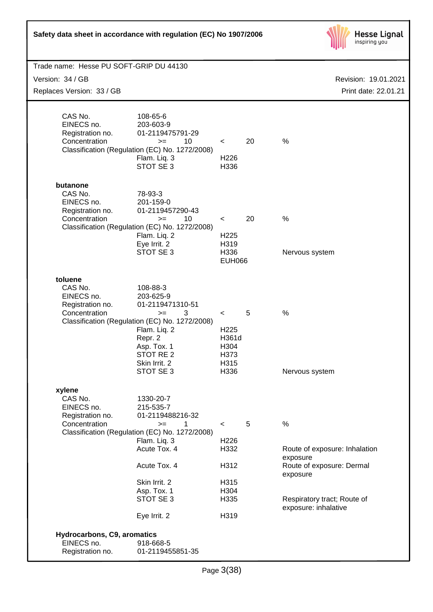| Safety data sheet in accordance with regulation (EC) No 1907/2006                        |                                                                                                                                                                                                                        |                                                                             |    | <b>Hesse Lignal</b><br>inspiring you                                                                                                              |
|------------------------------------------------------------------------------------------|------------------------------------------------------------------------------------------------------------------------------------------------------------------------------------------------------------------------|-----------------------------------------------------------------------------|----|---------------------------------------------------------------------------------------------------------------------------------------------------|
| Trade name: Hesse PU SOFT-GRIP DU 44130<br>Version: 34 / GB<br>Replaces Version: 33 / GB |                                                                                                                                                                                                                        |                                                                             |    | Revision: 19.01.2021<br>Print date: 22.01.21                                                                                                      |
| CAS No.<br>EINECS no.<br>Registration no.<br>Concentration                               | 108-65-6<br>203-603-9<br>01-2119475791-29<br>10<br>$>=$<br>Classification (Regulation (EC) No. 1272/2008)<br>Flam. Liq. 3<br>STOT SE 3                                                                                 | $\prec$<br>H <sub>226</sub><br>H336                                         | 20 | $\%$                                                                                                                                              |
| butanone<br>CAS No.<br>EINECS no.<br>Registration no.<br>Concentration                   | 78-93-3<br>201-159-0<br>01-2119457290-43<br>10<br>$>=$<br>Classification (Regulation (EC) No. 1272/2008)<br>Flam. Liq. 2<br>Eye Irrit. 2<br>STOT SE 3                                                                  | $\,<\,$<br>H <sub>225</sub><br>H319<br>H336<br><b>EUH066</b>                | 20 | %<br>Nervous system                                                                                                                               |
| toluene<br>CAS No.<br>EINECS no.<br>Registration no.<br>Concentration                    | 108-88-3<br>203-625-9<br>01-2119471310-51<br>3<br>$>=$<br>Classification (Regulation (EC) No. 1272/2008)<br>Flam. Liq. 2<br>Repr. 2<br>Asp. Tox. 1<br>STOT RE <sub>2</sub><br>Skin Irrit. 2<br>STOT SE 3               | $\,<\,$<br>H <sub>225</sub><br>H361d<br>H304<br>H373<br>H315<br>H336        | 5  | %<br>Nervous system                                                                                                                               |
| xylene<br>CAS No.<br>EINECS no.<br>Registration no.<br>Concentration                     | 1330-20-7<br>215-535-7<br>01-2119488216-32<br>1<br>$>=$<br>Classification (Regulation (EC) No. 1272/2008)<br>Flam. Liq. 3<br>Acute Tox. 4<br>Acute Tox. 4<br>Skin Irrit. 2<br>Asp. Tox. 1<br>STOT SE 3<br>Eye Irrit. 2 | $\prec$<br>H <sub>226</sub><br>H332<br>H312<br>H315<br>H304<br>H335<br>H319 | 5  | $\%$<br>Route of exposure: Inhalation<br>exposure<br>Route of exposure: Dermal<br>exposure<br>Respiratory tract; Route of<br>exposure: inhalative |
| Hydrocarbons, C9, aromatics<br>EINECS no.<br>Registration no.                            | 918-668-5<br>01-2119455851-35                                                                                                                                                                                          |                                                                             |    |                                                                                                                                                   |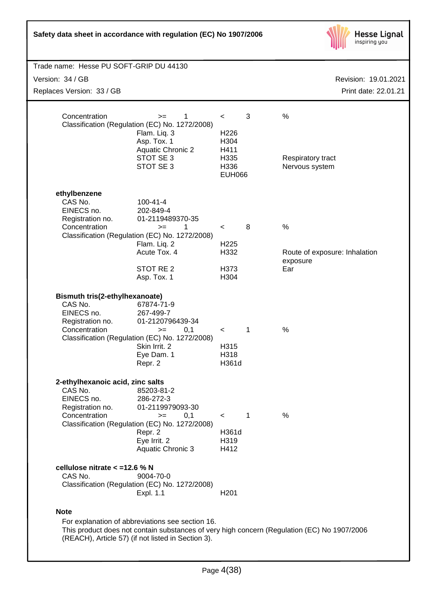

| Trade name: Hesse PU SOFT-GRIP DU 44130                |                                                                |                          |             |                                                                                             |
|--------------------------------------------------------|----------------------------------------------------------------|--------------------------|-------------|---------------------------------------------------------------------------------------------|
| Version: 34 / GB                                       | Revision: 19.01.2021                                           |                          |             |                                                                                             |
| Replaces Version: 33 / GB                              |                                                                |                          |             | Print date: 22.01.21                                                                        |
|                                                        |                                                                |                          |             |                                                                                             |
| Concentration                                          | 1<br>$>=$                                                      | $\,<\,$                  | 3           | $\%$                                                                                        |
|                                                        | Classification (Regulation (EC) No. 1272/2008)<br>Flam. Liq. 3 | H <sub>226</sub>         |             |                                                                                             |
|                                                        | Asp. Tox. 1<br><b>Aquatic Chronic 2</b>                        | H304<br>H411             |             |                                                                                             |
|                                                        | STOT SE 3                                                      | H335                     |             | Respiratory tract                                                                           |
|                                                        | STOT SE 3                                                      | H336<br><b>EUH066</b>    |             | Nervous system                                                                              |
|                                                        |                                                                |                          |             |                                                                                             |
| ethylbenzene<br>CAS No.                                | $100 - 41 - 4$                                                 |                          |             |                                                                                             |
| EINECS no.                                             | 202-849-4                                                      |                          |             |                                                                                             |
| Registration no.<br>Concentration                      | 01-2119489370-35                                               |                          | 8           | $\%$                                                                                        |
|                                                        | 1<br>$>=$<br>Classification (Regulation (EC) No. 1272/2008)    | $\overline{\phantom{a}}$ |             |                                                                                             |
|                                                        | Flam. Liq. 2<br>Acute Tox. 4                                   | H <sub>225</sub>         |             |                                                                                             |
|                                                        |                                                                | H332                     |             | Route of exposure: Inhalation<br>exposure                                                   |
|                                                        | STOT RE <sub>2</sub><br>Asp. Tox. 1                            | H373<br>H304             |             | Ear                                                                                         |
|                                                        |                                                                |                          |             |                                                                                             |
| Bismuth tris(2-ethylhexanoate)                         |                                                                |                          |             |                                                                                             |
| CAS No.<br>EINECS no.                                  | 67874-71-9<br>267-499-7                                        |                          |             |                                                                                             |
| Registration no.                                       | 01-2120796439-34                                               |                          |             |                                                                                             |
| Concentration                                          | 0,1<br>$>=$<br>Classification (Regulation (EC) No. 1272/2008)  | $\,<\,$                  | 1           | %                                                                                           |
|                                                        | Skin Irrit. 2                                                  | H315                     |             |                                                                                             |
|                                                        | Eye Dam. 1<br>Repr. 2                                          | H318<br>H361d            |             |                                                                                             |
|                                                        |                                                                |                          |             |                                                                                             |
| 2-ethylhexanoic acid, zinc salts<br>CAS No.            | 85203-81-2                                                     |                          |             |                                                                                             |
| EINECS no.                                             | 286-272-3                                                      |                          |             |                                                                                             |
| Registration no.<br>Concentration                      | 01-2119979093-30<br>0,1<br>$>=$                                | $\lt$                    | $\mathbf 1$ | %                                                                                           |
|                                                        | Classification (Regulation (EC) No. 1272/2008)                 |                          |             |                                                                                             |
|                                                        | Repr. 2                                                        | H361d<br>H319            |             |                                                                                             |
|                                                        | Eye Irrit. 2<br>Aquatic Chronic 3                              | H412                     |             |                                                                                             |
|                                                        |                                                                |                          |             |                                                                                             |
| cellulose nitrate < = 12.6 % N<br>CAS No.<br>9004-70-0 |                                                                |                          |             |                                                                                             |
|                                                        | Classification (Regulation (EC) No. 1272/2008)                 |                          |             |                                                                                             |
|                                                        | Expl. 1.1                                                      | H <sub>201</sub>         |             |                                                                                             |
| <b>Note</b>                                            |                                                                |                          |             |                                                                                             |
|                                                        | For explanation of abbreviations see section 16.               |                          |             | This product does not contain substances of very high concern (Regulation (EC) No 1907/2006 |
|                                                        | (REACH), Article 57) (if not listed in Section 3).             |                          |             |                                                                                             |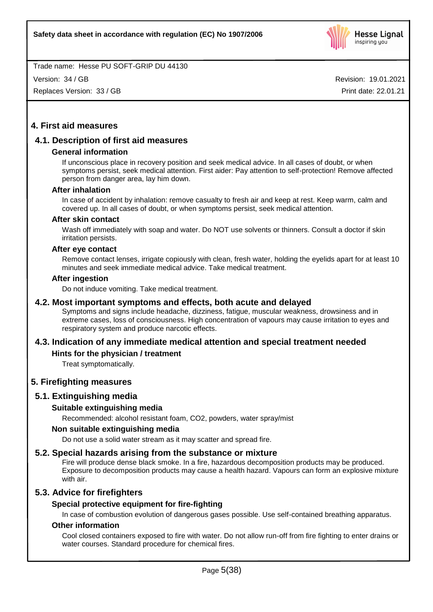

Version: 34 / GB

Replaces Version: 33 / GB

Revision: 19.01.2021 Print date: 22.01.21

# **4. First aid measures**

# **4.1. Description of first aid measures**

# **General information**

If unconscious place in recovery position and seek medical advice. In all cases of doubt, or when symptoms persist, seek medical attention. First aider: Pay attention to self-protection! Remove affected person from danger area, lay him down.

#### **After inhalation**

In case of accident by inhalation: remove casualty to fresh air and keep at rest. Keep warm, calm and covered up. In all cases of doubt, or when symptoms persist, seek medical attention.

#### **After skin contact**

Wash off immediately with soap and water. Do NOT use solvents or thinners. Consult a doctor if skin irritation persists.

#### **After eye contact**

Remove contact lenses, irrigate copiously with clean, fresh water, holding the eyelids apart for at least 10 minutes and seek immediate medical advice. Take medical treatment.

#### **After ingestion**

Do not induce vomiting. Take medical treatment.

# **4.2. Most important symptoms and effects, both acute and delayed**

Symptoms and signs include headache, dizziness, fatigue, muscular weakness, drowsiness and in extreme cases, loss of consciousness. High concentration of vapours may cause irritation to eyes and respiratory system and produce narcotic effects.

# **4.3. Indication of any immediate medical attention and special treatment needed**

# **Hints for the physician / treatment**

Treat symptomatically.

# **5. Firefighting measures**

# **5.1. Extinguishing media**

# **Suitable extinguishing media**

Recommended: alcohol resistant foam, CO2, powders, water spray/mist

# **Non suitable extinguishing media**

Do not use a solid water stream as it may scatter and spread fire.

# **5.2. Special hazards arising from the substance or mixture**

Fire will produce dense black smoke. In a fire, hazardous decomposition products may be produced. Exposure to decomposition products may cause a health hazard. Vapours can form an explosive mixture with air.

# **5.3. Advice for firefighters**

# **Special protective equipment for fire-fighting**

In case of combustion evolution of dangerous gases possible. Use self-contained breathing apparatus.

# **Other information**

Cool closed containers exposed to fire with water. Do not allow run-off from fire fighting to enter drains or water courses. Standard procedure for chemical fires.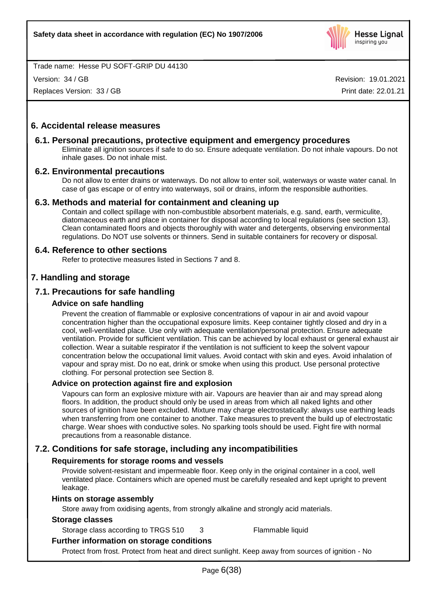

Version: 34 / GB

Replaces Version: 33 / GB

Revision: 19.01.2021 Print date: 22.01.21

# **6. Accidental release measures**

# **6.1. Personal precautions, protective equipment and emergency procedures**

Eliminate all ignition sources if safe to do so. Ensure adequate ventilation. Do not inhale vapours. Do not inhale gases. Do not inhale mist.

# **6.2. Environmental precautions**

Do not allow to enter drains or waterways. Do not allow to enter soil, waterways or waste water canal. In case of gas escape or of entry into waterways, soil or drains, inform the responsible authorities.

# **6.3. Methods and material for containment and cleaning up**

Contain and collect spillage with non-combustible absorbent materials, e.g. sand, earth, vermiculite, diatomaceous earth and place in container for disposal according to local regulations (see section 13). Clean contaminated floors and objects thoroughly with water and detergents, observing environmental regulations. Do NOT use solvents or thinners. Send in suitable containers for recovery or disposal.

# **6.4. Reference to other sections**

Refer to protective measures listed in Sections 7 and 8.

# **7. Handling and storage**

# **7.1. Precautions for safe handling**

# **Advice on safe handling**

Prevent the creation of flammable or explosive concentrations of vapour in air and avoid vapour concentration higher than the occupational exposure limits. Keep container tightly closed and dry in a cool, well-ventilated place. Use only with adequate ventilation/personal protection. Ensure adequate ventilation. Provide for sufficient ventilation. This can be achieved by local exhaust or general exhaust air collection. Wear a suitable respirator if the ventilation is not sufficient to keep the solvent vapour concentration below the occupational limit values. Avoid contact with skin and eyes. Avoid inhalation of vapour and spray mist. Do no eat, drink or smoke when using this product. Use personal protective clothing. For personal protection see Section 8.

# **Advice on protection against fire and explosion**

Vapours can form an explosive mixture with air. Vapours are heavier than air and may spread along floors. In addition, the product should only be used in areas from which all naked lights and other sources of ignition have been excluded. Mixture may charge electrostatically: always use earthing leads when transferring from one container to another. Take measures to prevent the build up of electrostatic charge. Wear shoes with conductive soles. No sparking tools should be used. Fight fire with normal precautions from a reasonable distance.

# **7.2. Conditions for safe storage, including any incompatibilities**

# **Requirements for storage rooms and vessels**

Provide solvent-resistant and impermeable floor. Keep only in the original container in a cool, well ventilated place. Containers which are opened must be carefully resealed and kept upright to prevent leakage.

# **Hints on storage assembly**

Store away from oxidising agents, from strongly alkaline and strongly acid materials.

# **Storage classes**

Storage class according to TRGS 510 3 Flammable liquid

# **Further information on storage conditions**

Protect from frost. Protect from heat and direct sunlight. Keep away from sources of ignition - No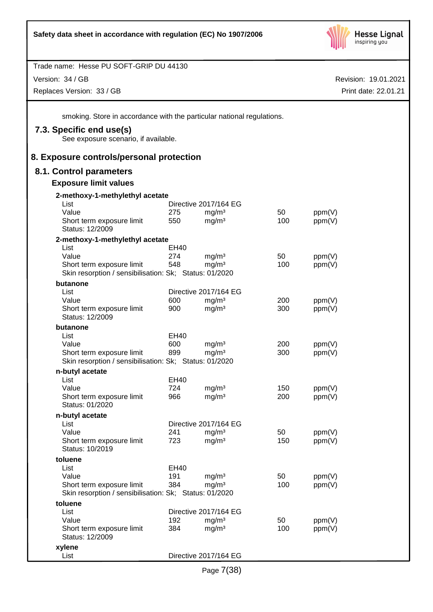

| Trade name: Hesse PU SOFT-GRIP DU 44130                                             |             |                                            |           |                  |                      |
|-------------------------------------------------------------------------------------|-------------|--------------------------------------------|-----------|------------------|----------------------|
| Version: 34 / GB                                                                    |             |                                            |           |                  | Revision: 19.01.2021 |
| Replaces Version: 33 / GB                                                           |             |                                            |           |                  | Print date: 22.01.21 |
| smoking. Store in accordance with the particular national regulations.              |             |                                            |           |                  |                      |
| 7.3. Specific end use(s)<br>See exposure scenario, if available.                    |             |                                            |           |                  |                      |
| 8. Exposure controls/personal protection                                            |             |                                            |           |                  |                      |
| 8.1. Control parameters                                                             |             |                                            |           |                  |                      |
| <b>Exposure limit values</b>                                                        |             |                                            |           |                  |                      |
| 2-methoxy-1-methylethyl acetate                                                     |             |                                            |           |                  |                      |
| List                                                                                |             | Directive 2017/164 EG                      |           |                  |                      |
| Value<br>Short term exposure limit<br>Status: 12/2009                               | 275<br>550  | mg/m <sup>3</sup><br>mg/m <sup>3</sup>     | 50<br>100 | ppm(V)<br>ppm(V) |                      |
| 2-methoxy-1-methylethyl acetate                                                     |             |                                            |           |                  |                      |
| List                                                                                | <b>EH40</b> |                                            |           |                  |                      |
| Value                                                                               | 274         | mg/m <sup>3</sup>                          | 50        | ppm(V)           |                      |
| Short term exposure limit<br>Skin resorption / sensibilisation: Sk; Status: 01/2020 | 548         | mg/m <sup>3</sup>                          | 100       | ppm(V)           |                      |
| butanone                                                                            |             |                                            |           |                  |                      |
| List<br>Value                                                                       | 600         | Directive 2017/164 EG<br>mg/m <sup>3</sup> | 200       |                  |                      |
| Short term exposure limit<br>Status: 12/2009                                        | 900         | mg/m <sup>3</sup>                          | 300       | ppm(V)<br>ppm(V) |                      |
| butanone                                                                            |             |                                            |           |                  |                      |
| List                                                                                | EH40        |                                            |           |                  |                      |
| Value                                                                               | 600         | mg/m <sup>3</sup>                          | 200       | ppm(V)           |                      |
| Short term exposure limit<br>Skin resorption / sensibilisation: Sk; Status: 01/2020 | 899         | mg/m <sup>3</sup>                          | 300       | ppm(V)           |                      |
| n-butyl acetate                                                                     |             |                                            |           |                  |                      |
| List<br>Value                                                                       | EH40<br>724 |                                            | 150       |                  |                      |
| Short term exposure limit                                                           | 966         | $mg/m^3$<br>mg/m <sup>3</sup>              | 200       | ppm(V)<br>ppm(V) |                      |
| Status: 01/2020                                                                     |             |                                            |           |                  |                      |
| n-butyl acetate                                                                     |             |                                            |           |                  |                      |
| List<br>Value                                                                       | 241         | Directive 2017/164 EG<br>mg/m <sup>3</sup> | 50        | ppm(V)           |                      |
| Short term exposure limit<br>Status: 10/2019                                        | 723         | mg/m <sup>3</sup>                          | 150       | ppm(V)           |                      |
| toluene                                                                             |             |                                            |           |                  |                      |
| List                                                                                | EH40        |                                            |           |                  |                      |
| Value                                                                               | 191         | mg/m <sup>3</sup>                          | 50        | ppm(V)           |                      |
| Short term exposure limit<br>Skin resorption / sensibilisation: Sk; Status: 01/2020 | 384         | mg/m <sup>3</sup>                          | 100       | ppm(V)           |                      |
| toluene                                                                             |             |                                            |           |                  |                      |
| List                                                                                |             | Directive 2017/164 EG                      |           |                  |                      |
| Value                                                                               | 192         | mg/m <sup>3</sup>                          | 50        | ppm(V)           |                      |
| Short term exposure limit<br>Status: 12/2009                                        | 384         | mg/m <sup>3</sup>                          | 100       | ppm(V)           |                      |
| xylene                                                                              |             |                                            |           |                  |                      |
| List                                                                                |             | Directive 2017/164 EG                      |           |                  |                      |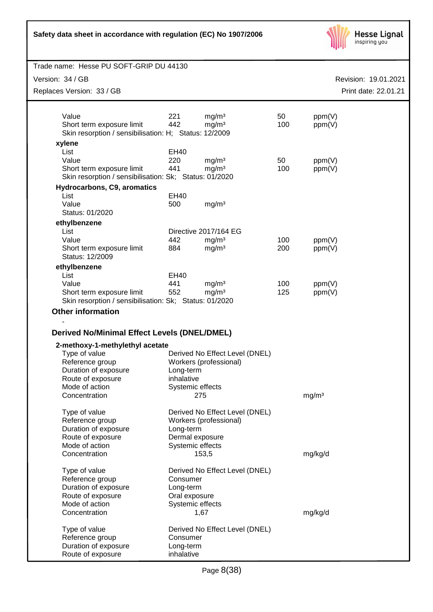| Safety data sheet in accordance with regulation (EC) No 1907/2006 |  |
|-------------------------------------------------------------------|--|
|-------------------------------------------------------------------|--|



| Trade name: Hesse PU SOFT-GRIP DU 44130                                             |                  |                                        |            |                   |                      |
|-------------------------------------------------------------------------------------|------------------|----------------------------------------|------------|-------------------|----------------------|
| Version: 34 / GB                                                                    |                  |                                        |            |                   | Revision: 19.01.2021 |
| Replaces Version: 33 / GB                                                           |                  |                                        |            |                   | Print date: 22.01.21 |
|                                                                                     |                  |                                        |            |                   |                      |
| Value                                                                               | 221<br>442       | mg/m <sup>3</sup>                      | 50<br>100  | ppm(V)            |                      |
| Short term exposure limit<br>Skin resorption / sensibilisation: H; Status: 12/2009  |                  | mg/m <sup>3</sup>                      |            | ppm(V)            |                      |
| xylene                                                                              |                  |                                        |            |                   |                      |
| List                                                                                | <b>EH40</b>      |                                        |            |                   |                      |
| Value                                                                               | 220              | mg/m <sup>3</sup>                      | 50         | ppm(V)            |                      |
| Short term exposure limit<br>Skin resorption / sensibilisation: Sk; Status: 01/2020 | 441              | mg/m <sup>3</sup>                      | 100        | ppm(V)            |                      |
| <b>Hydrocarbons, C9, aromatics</b>                                                  |                  |                                        |            |                   |                      |
| List                                                                                | <b>EH40</b>      |                                        |            |                   |                      |
| Value                                                                               | 500              | mg/m <sup>3</sup>                      |            |                   |                      |
| Status: 01/2020                                                                     |                  |                                        |            |                   |                      |
| ethylbenzene                                                                        |                  |                                        |            |                   |                      |
| List                                                                                |                  | Directive 2017/164 EG                  |            |                   |                      |
| Value<br>Short term exposure limit                                                  | 442<br>884       | mg/m <sup>3</sup><br>mg/m <sup>3</sup> | 100<br>200 | ppm(V)<br>ppm(V)  |                      |
| Status: 12/2009                                                                     |                  |                                        |            |                   |                      |
| ethylbenzene                                                                        |                  |                                        |            |                   |                      |
| List                                                                                | EH40             |                                        |            |                   |                      |
| Value                                                                               | 441<br>552       | mg/m <sup>3</sup><br>mg/m <sup>3</sup> | 100<br>125 | ppm(V)            |                      |
| Short term exposure limit<br>Skin resorption / sensibilisation: Sk; Status: 01/2020 |                  |                                        |            | ppm(V)            |                      |
| <b>Other information</b>                                                            |                  |                                        |            |                   |                      |
| <b>Derived No/Minimal Effect Levels (DNEL/DMEL)</b>                                 |                  |                                        |            |                   |                      |
| 2-methoxy-1-methylethyl acetate                                                     |                  |                                        |            |                   |                      |
| Type of value                                                                       |                  | Derived No Effect Level (DNEL)         |            |                   |                      |
| Reference group<br>Duration of exposure                                             | Long-term        | Workers (professional)                 |            |                   |                      |
| Route of exposure                                                                   | inhalative       |                                        |            |                   |                      |
| Mode of action                                                                      | Systemic effects |                                        |            |                   |                      |
| Concentration                                                                       |                  | 275                                    |            | mg/m <sup>3</sup> |                      |
| Type of value                                                                       |                  | Derived No Effect Level (DNEL)         |            |                   |                      |
| Reference group                                                                     |                  | Workers (professional)                 |            |                   |                      |
| Duration of exposure                                                                | Long-term        |                                        |            |                   |                      |
| Route of exposure                                                                   | Dermal exposure  |                                        |            |                   |                      |
| Mode of action                                                                      | Systemic effects |                                        |            |                   |                      |
| Concentration                                                                       |                  | 153,5                                  |            | mg/kg/d           |                      |
| Type of value                                                                       |                  | Derived No Effect Level (DNEL)         |            |                   |                      |
| Reference group                                                                     | Consumer         |                                        |            |                   |                      |
| Duration of exposure                                                                | Long-term        |                                        |            |                   |                      |
| Route of exposure                                                                   | Oral exposure    |                                        |            |                   |                      |
| Mode of action<br>Concentration                                                     | Systemic effects | 1,67                                   |            | mg/kg/d           |                      |
| Type of value                                                                       |                  | Derived No Effect Level (DNEL)         |            |                   |                      |
| Reference group                                                                     | Consumer         |                                        |            |                   |                      |
| Duration of exposure                                                                | Long-term        |                                        |            |                   |                      |
| Route of exposure                                                                   | inhalative       |                                        |            |                   |                      |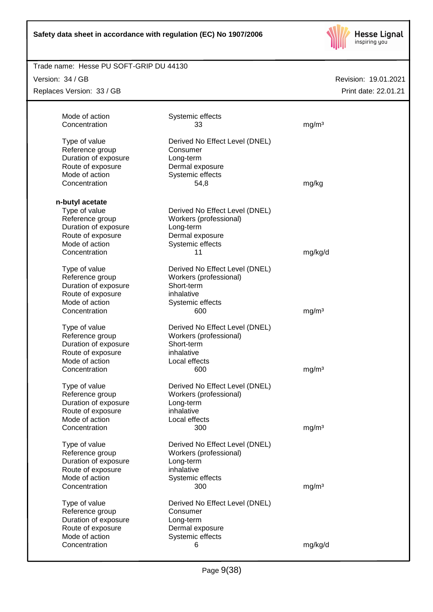

# Trade name: Hesse PU SOFT-GRIP DU 44130

Version: 34 / GB

Replaces Version: 33 / GB

| Mode of action<br>Concentration                                                                                                     | Systemic effects<br>33                                                                                             | mg/m <sup>3</sup> |
|-------------------------------------------------------------------------------------------------------------------------------------|--------------------------------------------------------------------------------------------------------------------|-------------------|
| Type of value<br>Reference group<br>Duration of exposure<br>Route of exposure<br>Mode of action<br>Concentration                    | Derived No Effect Level (DNEL)<br>Consumer<br>Long-term<br>Dermal exposure<br>Systemic effects<br>54,8             | mg/kg             |
|                                                                                                                                     |                                                                                                                    |                   |
| n-butyl acetate<br>Type of value<br>Reference group<br>Duration of exposure<br>Route of exposure<br>Mode of action<br>Concentration | Derived No Effect Level (DNEL)<br>Workers (professional)<br>Long-term<br>Dermal exposure<br>Systemic effects<br>11 | mg/kg/d           |
| Type of value<br>Reference group<br>Duration of exposure<br>Route of exposure<br>Mode of action<br>Concentration                    | Derived No Effect Level (DNEL)<br>Workers (professional)<br>Short-term<br>inhalative<br>Systemic effects<br>600    | mg/m <sup>3</sup> |
| Type of value<br>Reference group<br>Duration of exposure<br>Route of exposure<br>Mode of action<br>Concentration                    | Derived No Effect Level (DNEL)<br>Workers (professional)<br>Short-term<br>inhalative<br>Local effects<br>600       | mg/m <sup>3</sup> |
| Type of value<br>Reference group<br>Duration of exposure<br>Route of exposure<br>Mode of action<br>Concentration                    | Derived No Effect Level (DNEL)<br>Workers (professional)<br>Long-term<br>inhalative<br>Local effects<br>300        | mg/m <sup>3</sup> |
| Type of value<br>Reference group<br>Duration of exposure<br>Route of exposure<br>Mode of action<br>Concentration                    | Derived No Effect Level (DNEL)<br>Workers (professional)<br>Long-term<br>inhalative<br>Systemic effects<br>300     | mg/m <sup>3</sup> |
| Type of value<br>Reference group<br>Duration of exposure<br>Route of exposure<br>Mode of action<br>Concentration                    | Derived No Effect Level (DNEL)<br>Consumer<br>Long-term<br>Dermal exposure<br>Systemic effects<br>6                | mg/kg/d           |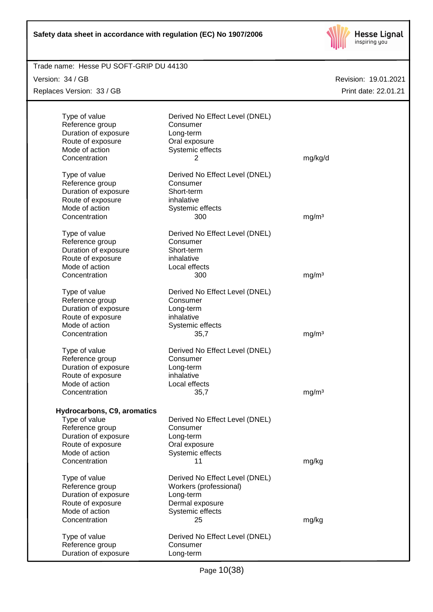

# Revision: 19.01.2021 Trade name: Hesse PU SOFT-GRIP DU 44130 Print date: 22.01.21 Version: 34 / GB Replaces Version: 33 / GB Type of value Derived No Effect Level (DNEL) Reference group Consumer Duration of exposure Long-term Route of exposure **Calex Constant Constant Constant Constant Constant Constant Constant Constant Constant Constant Constant Constant Constant Constant Constant Constant Constant Constant Constant Constant Constant Constant** Mode of action Systemic effects Concentration 2 mg/kg/d Type of value Derived No Effect Level (DNEL) Reference group Consumer Duration of exposure Short-term Route of exposure inhalative Mode of action Systemic effects Concentration 300 mg/m<sup>3</sup> Type of value Derived No Effect Level (DNEL) Reference group Consumer Duration of exposure Short-term Route of exposure inhalative Mode of action **Local effects** Concentration 300 mg/m<sup>3</sup> Type of value Derived No Effect Level (DNEL) Reference group Consumer Duration of exposure Long-term Route of exposure inhalative Mode of action Systemic effects Concentration 35,7 mg/m<sup>3</sup> Type of value Derived No Effect Level (DNEL) Reference group Consumer Duration of exposure Long-term Route of exposure inhalative Mode of action **Local effects** Concentration 35,7 mg/m<sup>3</sup> **Hydrocarbons, C9, aromatics** Type of value Derived No Effect Level (DNEL) Reference group Consumer Duration of exposure **Long-term** Route of exposure **Cales** Oral exposure Mode of action Systemic effects Concentration 11 mg/kg Type of value Derived No Effect Level (DNEL) Reference group Workers (professional) Duration of exposure **Long-term** Route of exposure **Dermal exposure** Mode of action Systemic effects Concentration 25 mg/kg Type of value Derived No Effect Level (DNEL) Reference group Consumer Duration of exposure Long-term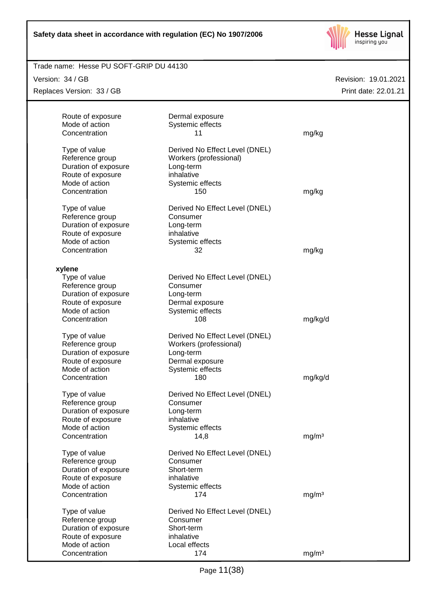

# Trade name: Hesse PU SOFT-GRIP DU 44130

Version: 34 / GB

Replaces Version: 33 / GB

| Route of exposure<br>Mode of action | Dermal exposure<br>Systemic effects        |                   |
|-------------------------------------|--------------------------------------------|-------------------|
| Concentration                       | 11                                         | mg/kg             |
| Type of value                       | Derived No Effect Level (DNEL)             |                   |
| Reference group                     | Workers (professional)                     |                   |
| Duration of exposure                | Long-term                                  |                   |
| Route of exposure                   | inhalative                                 |                   |
| Mode of action                      | Systemic effects                           |                   |
| Concentration                       | 150                                        | mg/kg             |
| Type of value                       | Derived No Effect Level (DNEL)             |                   |
| Reference group                     | Consumer                                   |                   |
| Duration of exposure                | Long-term                                  |                   |
| Route of exposure                   | inhalative                                 |                   |
| Mode of action                      | Systemic effects                           |                   |
| Concentration                       | 32                                         | mg/kg             |
|                                     |                                            |                   |
| xylene                              |                                            |                   |
| Type of value<br>Reference group    | Derived No Effect Level (DNEL)<br>Consumer |                   |
| Duration of exposure                | Long-term                                  |                   |
| Route of exposure                   | Dermal exposure                            |                   |
| Mode of action                      | Systemic effects                           |                   |
| Concentration                       | 108                                        | mg/kg/d           |
|                                     |                                            |                   |
| Type of value                       | Derived No Effect Level (DNEL)             |                   |
| Reference group                     | Workers (professional)                     |                   |
| Duration of exposure                | Long-term                                  |                   |
| Route of exposure<br>Mode of action | Dermal exposure<br>Systemic effects        |                   |
| Concentration                       | 180                                        | mg/kg/d           |
|                                     |                                            |                   |
| Type of value                       | Derived No Effect Level (DNEL)             |                   |
| Reference group                     | Consumer                                   |                   |
| Duration of exposure                | Long-term                                  |                   |
| Route of exposure                   | inhalative                                 |                   |
| Mode of action                      | Systemic effects                           |                   |
| Concentration                       | 14,8                                       | mg/m <sup>3</sup> |
| Type of value                       | Derived No Effect Level (DNEL)             |                   |
| Reference group                     | Consumer                                   |                   |
| Duration of exposure                | Short-term                                 |                   |
| Route of exposure                   | inhalative                                 |                   |
| Mode of action                      | Systemic effects                           |                   |
| Concentration                       | 174                                        | mg/m <sup>3</sup> |
| Type of value                       | Derived No Effect Level (DNEL)             |                   |
| Reference group                     | Consumer                                   |                   |
| Duration of exposure                | Short-term                                 |                   |
| Route of exposure                   | inhalative                                 |                   |
| Mode of action                      | Local effects                              |                   |
| Concentration                       | 174                                        | mg/m <sup>3</sup> |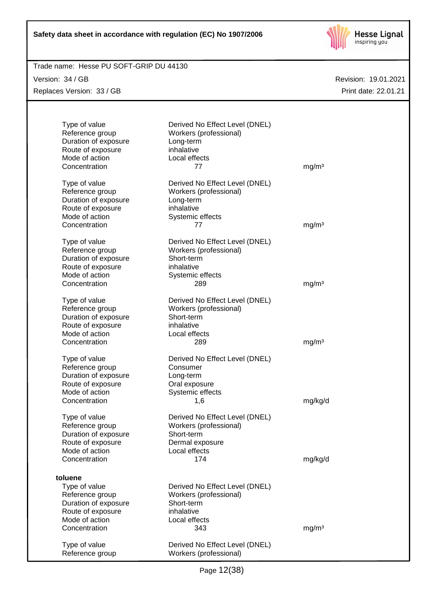

# Trade name: Hesse PU SOFT-GRIP DU 44130

Version: 34 / GB Replaces Version: 33 / GB

| Type of value<br>Reference group<br>Duration of exposure<br>Route of exposure<br>Mode of action<br>Concentration | Derived No Effect Level (DNEL)<br>Workers (professional)<br>Long-term<br>inhalative<br>Local effects<br>77      | mg/m <sup>3</sup> |
|------------------------------------------------------------------------------------------------------------------|-----------------------------------------------------------------------------------------------------------------|-------------------|
| Type of value<br>Reference group<br>Duration of exposure<br>Route of exposure<br>Mode of action                  | Derived No Effect Level (DNEL)<br>Workers (professional)<br>Long-term<br>inhalative<br>Systemic effects         |                   |
| Concentration                                                                                                    | 77                                                                                                              | mg/m <sup>3</sup> |
| Type of value<br>Reference group<br>Duration of exposure<br>Route of exposure<br>Mode of action<br>Concentration | Derived No Effect Level (DNEL)<br>Workers (professional)<br>Short-term<br>inhalative<br>Systemic effects<br>289 | mg/m <sup>3</sup> |
| Type of value<br>Reference group<br>Duration of exposure<br>Route of exposure<br>Mode of action                  | Derived No Effect Level (DNEL)<br>Workers (professional)<br>Short-term<br>inhalative<br>Local effects           |                   |
| Concentration                                                                                                    | 289                                                                                                             | mg/m <sup>3</sup> |
| Type of value<br>Reference group<br>Duration of exposure<br>Route of exposure<br>Mode of action                  | Derived No Effect Level (DNEL)<br>Consumer<br>Long-term<br>Oral exposure<br>Systemic effects                    |                   |
| Concentration                                                                                                    | 1,6                                                                                                             | mg/kg/d           |
| Type of value<br>Reference group<br>Duration of exposure<br>Route of exposure<br>Mode of action<br>Concentration | Derived No Effect Level (DNEL)<br>Workers (professional)<br>Short-term<br>Dermal exposure<br>Local effects      |                   |
|                                                                                                                  | 174                                                                                                             | mg/kg/d           |
| toluene                                                                                                          |                                                                                                                 |                   |
| Type of value<br>Reference group<br>Duration of exposure<br>Route of exposure<br>Mode of action<br>Concentration | Derived No Effect Level (DNEL)<br>Workers (professional)<br>Short-term<br>inhalative<br>Local effects<br>343    | mg/m <sup>3</sup> |
| Type of value<br>Reference group                                                                                 | Derived No Effect Level (DNEL)<br>Workers (professional)                                                        |                   |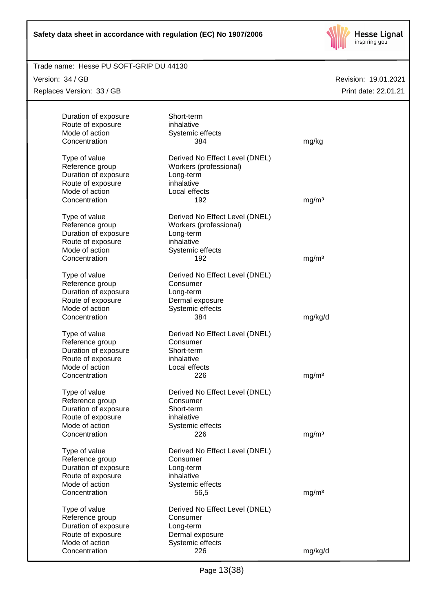

#### Trade name: Hesse PU SOFT-GRIP DU 44130

Version: 34 / GB

Replaces Version: 33 / GB

| Duration of exposure<br>Route of exposure<br>Mode of action<br>Concentration                                     | Short-term<br>inhalative<br>Systemic effects<br>384                                                   | mg/kg             |
|------------------------------------------------------------------------------------------------------------------|-------------------------------------------------------------------------------------------------------|-------------------|
| Type of value<br>Reference group<br>Duration of exposure<br>Route of exposure<br>Mode of action                  | Derived No Effect Level (DNEL)<br>Workers (professional)<br>Long-term<br>inhalative<br>Local effects  |                   |
| Concentration<br>Type of value<br>Reference group<br>Duration of exposure<br>Route of exposure                   | 192<br>Derived No Effect Level (DNEL)<br>Workers (professional)<br>Long-term<br>inhalative            | mg/m <sup>3</sup> |
| Mode of action<br>Concentration                                                                                  | Systemic effects<br>192                                                                               | mg/m <sup>3</sup> |
| Type of value<br>Reference group<br>Duration of exposure<br>Route of exposure<br>Mode of action<br>Concentration | Derived No Effect Level (DNEL)<br>Consumer<br>Long-term<br>Dermal exposure<br>Systemic effects<br>384 | mg/kg/d           |
| Type of value<br>Reference group<br>Duration of exposure<br>Route of exposure<br>Mode of action                  | Derived No Effect Level (DNEL)<br>Consumer<br>Short-term<br>inhalative<br>Local effects               |                   |
| Concentration<br>Type of value<br>Reference group<br>Duration of exposure<br>Route of exposure                   | 226<br>Derived No Effect Level (DNEL)<br>Consumer<br>Short-term<br>inhalative                         | mg/m <sup>3</sup> |
| Mode of action<br>Concentration                                                                                  | Systemic effects<br>226                                                                               | mg/m <sup>3</sup> |
| Type of value<br>Reference group<br>Duration of exposure<br>Route of exposure<br>Mode of action                  | Derived No Effect Level (DNEL)<br>Consumer<br>Long-term<br>inhalative                                 |                   |
| Concentration                                                                                                    | Systemic effects<br>56,5                                                                              | mg/m <sup>3</sup> |
| Type of value<br>Reference group<br>Duration of exposure<br>Route of exposure                                    | Derived No Effect Level (DNEL)<br>Consumer<br>Long-term<br>Dermal exposure                            |                   |
| Mode of action<br>Concentration                                                                                  | Systemic effects<br>226                                                                               | mg/kg/d           |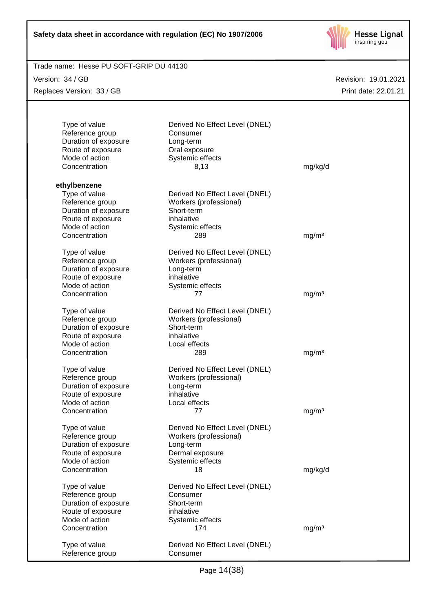

# Revision: 19.01.2021 Trade name: Hesse PU SOFT-GRIP DU 44130 Print date: 22.01.21 Version: 34 / GB Replaces Version: 33 / GB Type of value Derived No Effect Level (DNEL) Reference group Consumer Duration of exposure Long-term Route of exposure **Calication** Oral exposure<br>
Mode of action **Calication** Systemic effect Systemic effects Concentration 8,13 mg/kg/d **ethylbenzene** Type of value Derived No Effect Level (DNEL) Reference group Workers (professional) Duration of exposure Short-term Route of exposure inhalative Mode of action Systemic effects Concentration 289 mg/m<sup>3</sup> Type of value Derived No Effect Level (DNEL) Reference group Workers (professional) Duration of exposure **Long-term** Route of exposure inhalative Mode of action Systemic effects Concentration 77 mg/m<sup>3</sup> Type of value Derived No Effect Level (DNEL) Reference group Workers (professional) Duration of exposure Short-term Route of exposure inhalative Mode of action **Local effects** Concentration 289 mg/m<sup>3</sup> Type of value Derived No Effect Level (DNEL) Reference group Workers (professional) Duration of exposure **Long-term**<br>
Route of exposure **Long-term**<br>
Route of exposure Route of exposure inhalative<br>Mode of action in the Local effects Mode of action Concentration 77 mg/m<sup>3</sup> Type of value Derived No Effect Level (DNEL) Reference group Workers (professional) Duration of exposure **Long-term** Route of exposure **Dermal exposure** Mode of action Systemic effects Concentration 18 mg/kg/d Type of value Derived No Effect Level (DNEL) Reference group Consumer Duration of exposure Short-term Route of exposure inhalative Mode of action Systemic effects Concentration 174 mg/m<sup>3</sup> Type of value Derived No Effect Level (DNEL) Reference group Consumer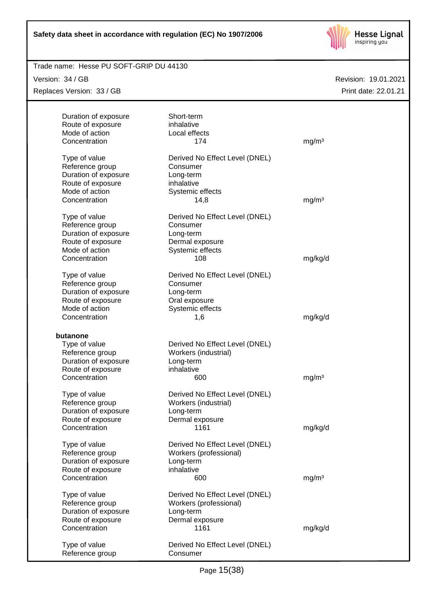

## Trade name: Hesse PU SOFT-GRIP DU 44130

Version: 34 / GB

Replaces Version: 33 / GB

| Duration of exposure<br>Route of exposure<br>Mode of action<br>Concentration                                     | Short-term<br>inhalative<br>Local effects<br>174                                                      | mg/m <sup>3</sup> |
|------------------------------------------------------------------------------------------------------------------|-------------------------------------------------------------------------------------------------------|-------------------|
| Type of value<br>Reference group<br>Duration of exposure<br>Route of exposure<br>Mode of action<br>Concentration | Derived No Effect Level (DNEL)<br>Consumer<br>Long-term<br>inhalative<br>Systemic effects<br>14,8     | mg/m <sup>3</sup> |
| Type of value<br>Reference group<br>Duration of exposure<br>Route of exposure<br>Mode of action<br>Concentration | Derived No Effect Level (DNEL)<br>Consumer<br>Long-term<br>Dermal exposure<br>Systemic effects<br>108 | mg/kg/d           |
| Type of value<br>Reference group<br>Duration of exposure<br>Route of exposure<br>Mode of action<br>Concentration | Derived No Effect Level (DNEL)<br>Consumer<br>Long-term<br>Oral exposure<br>Systemic effects<br>1,6   | mg/kg/d           |
| butanone<br>Type of value<br>Reference group<br>Duration of exposure<br>Route of exposure<br>Concentration       | Derived No Effect Level (DNEL)<br>Workers (industrial)<br>Long-term<br>inhalative<br>600              | mg/m <sup>3</sup> |
| Type of value<br>Reference group<br>Duration of exposure<br>Route of exposure<br>Concentration                   | Derived No Effect Level (DNEL)<br>Workers (industrial)<br>Long-term<br>Dermal exposure<br>1161        | mg/kg/d           |
| Type of value<br>Reference group<br>Duration of exposure<br>Route of exposure<br>Concentration                   | Derived No Effect Level (DNEL)<br>Workers (professional)<br>Long-term<br>inhalative<br>600            | mg/m <sup>3</sup> |
| Type of value<br>Reference group<br>Duration of exposure<br>Route of exposure<br>Concentration                   | Derived No Effect Level (DNEL)<br>Workers (professional)<br>Long-term<br>Dermal exposure<br>1161      | mg/kg/d           |
| Type of value<br>Reference group                                                                                 | Derived No Effect Level (DNEL)<br>Consumer                                                            |                   |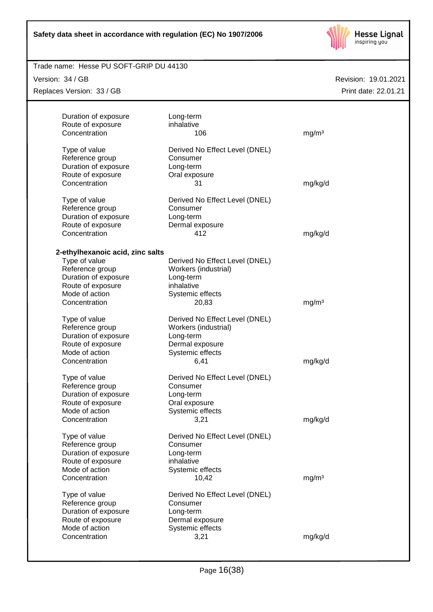

#### Trade name: Hesse PU SOFT-GRIP DU 44130

Version: 34 / GB

Replaces Version: 33 / GB

| Duration of exposure             | Long-term                      |                   |  |
|----------------------------------|--------------------------------|-------------------|--|
| Route of exposure                | inhalative                     |                   |  |
| Concentration                    | 106                            | mg/m <sup>3</sup> |  |
|                                  |                                |                   |  |
| Type of value                    | Derived No Effect Level (DNEL) |                   |  |
| Reference group                  | Consumer                       |                   |  |
| Duration of exposure             | Long-term                      |                   |  |
| Route of exposure                | Oral exposure                  |                   |  |
| Concentration                    | 31                             | mg/kg/d           |  |
|                                  |                                |                   |  |
| Type of value                    | Derived No Effect Level (DNEL) |                   |  |
| Reference group                  | Consumer                       |                   |  |
| Duration of exposure             | Long-term                      |                   |  |
| Route of exposure                | Dermal exposure                |                   |  |
| Concentration                    | 412                            | mg/kg/d           |  |
|                                  |                                |                   |  |
| 2-ethylhexanoic acid, zinc salts |                                |                   |  |
| Type of value                    | Derived No Effect Level (DNEL) |                   |  |
| Reference group                  | Workers (industrial)           |                   |  |
| Duration of exposure             | Long-term                      |                   |  |
| Route of exposure                | inhalative                     |                   |  |
| Mode of action                   | Systemic effects               |                   |  |
| Concentration                    | 20,83                          | mg/m <sup>3</sup> |  |
|                                  |                                |                   |  |
| Type of value                    | Derived No Effect Level (DNEL) |                   |  |
| Reference group                  | Workers (industrial)           |                   |  |
| Duration of exposure             | Long-term                      |                   |  |
| Route of exposure                | Dermal exposure                |                   |  |
| Mode of action                   | Systemic effects               |                   |  |
| Concentration                    | 6,41                           | mg/kg/d           |  |
|                                  |                                |                   |  |
| Type of value                    | Derived No Effect Level (DNEL) |                   |  |
| Reference group                  | Consumer                       |                   |  |
| Duration of exposure             | Long-term                      |                   |  |
| Route of exposure                | Oral exposure                  |                   |  |
| Mode of action                   | Systemic effects               |                   |  |
| Concentration                    | 3,21                           | mg/kg/d           |  |
|                                  |                                |                   |  |
| Type of value                    | Derived No Effect Level (DNEL) |                   |  |
| Reference group                  | Consumer                       |                   |  |
| Duration of exposure             | Long-term                      |                   |  |
| Route of exposure                | inhalative                     |                   |  |
| Mode of action                   | Systemic effects               |                   |  |
| Concentration                    |                                |                   |  |
|                                  | 10,42                          | mg/m <sup>3</sup> |  |
| Type of value                    | Derived No Effect Level (DNEL) |                   |  |
| Reference group                  | Consumer                       |                   |  |
| Duration of exposure             | Long-term                      |                   |  |
| Route of exposure                | Dermal exposure                |                   |  |
| Mode of action                   | Systemic effects               |                   |  |
| Concentration                    | 3,21                           | mg/kg/d           |  |
|                                  |                                |                   |  |
|                                  |                                |                   |  |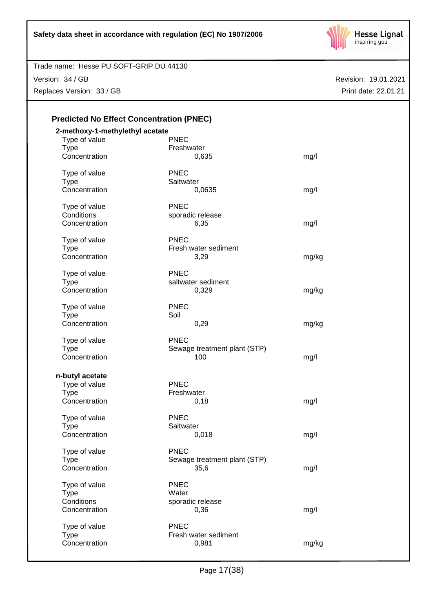

Version: 34 / GB

Replaces Version: 33 / GB

| 2-methoxy-1-methylethyl acetate |                              |       |
|---------------------------------|------------------------------|-------|
| Type of value                   | <b>PNEC</b>                  |       |
| <b>Type</b>                     | Freshwater                   |       |
| Concentration                   | 0,635                        | mg/l  |
| Type of value                   | <b>PNEC</b>                  |       |
| <b>Type</b>                     | Saltwater                    |       |
| Concentration                   | 0,0635                       | mg/l  |
| Type of value                   | <b>PNEC</b>                  |       |
| Conditions                      | sporadic release             |       |
| Concentration                   | 6,35                         | mg/l  |
| Type of value                   | <b>PNEC</b>                  |       |
| <b>Type</b>                     | Fresh water sediment         |       |
| Concentration                   | 3,29                         | mg/kg |
|                                 |                              |       |
| Type of value                   | <b>PNEC</b>                  |       |
| <b>Type</b>                     | saltwater sediment           |       |
| Concentration                   | 0,329                        | mg/kg |
| Type of value                   | <b>PNEC</b>                  |       |
| <b>Type</b>                     | Soil                         |       |
| Concentration                   | 0,29                         | mg/kg |
| Type of value                   | <b>PNEC</b>                  |       |
| <b>Type</b>                     | Sewage treatment plant (STP) |       |
| Concentration                   | 100                          | mg/l  |
| n-butyl acetate                 |                              |       |
| Type of value                   | <b>PNEC</b>                  |       |
| <b>Type</b>                     | Freshwater                   |       |
| Concentration                   | 0,18                         | mg/l  |
|                                 |                              |       |
| Type of value                   | <b>PNEC</b>                  |       |
| <b>Type</b>                     | Saltwater                    |       |
| Concentration                   | 0,018                        | mg/l  |
| Type of value                   | <b>PNEC</b>                  |       |
| <b>Type</b>                     | Sewage treatment plant (STP) |       |
| Concentration                   | 35,6                         | mg/l  |
| Type of value                   | <b>PNEC</b>                  |       |
| <b>Type</b>                     | Water                        |       |
| Conditions                      | sporadic release             |       |
| Concentration                   | 0,36                         | mg/l  |
| Type of value                   | <b>PNEC</b>                  |       |
| <b>Type</b>                     | Fresh water sediment         |       |
|                                 |                              |       |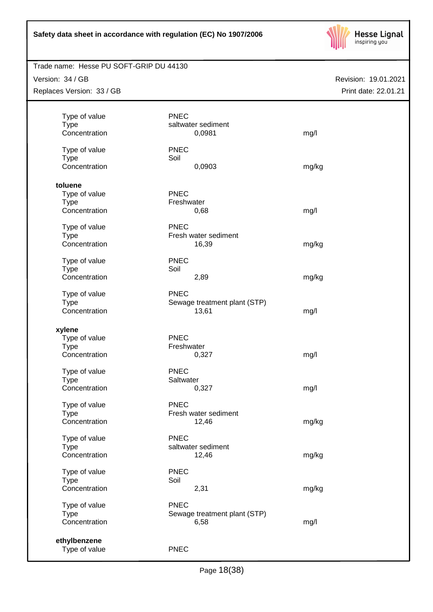

# Trade name: Hesse PU SOFT-GRIP DU 44130

Version: 34 / GB

Replaces Version: 33 / GB

| Revision: 19.01.2021 |
|----------------------|
| Print date: 22.01.21 |

| Type of value<br><b>Type</b><br>Concentration                            | <b>PNEC</b><br>saltwater sediment<br>0,0981         | mg/l  |
|--------------------------------------------------------------------------|-----------------------------------------------------|-------|
| Type of value<br><b>Type</b><br>Concentration                            | <b>PNEC</b><br>Soil<br>0,0903                       | mg/kg |
| toluene<br>Type of value<br><b>Type</b><br>Concentration                 | <b>PNEC</b><br>Freshwater<br>0,68                   | mg/l  |
| Type of value<br><b>Type</b><br>Concentration                            | <b>PNEC</b><br>Fresh water sediment<br>16,39        | mg/kg |
| Type of value<br>Type<br>Concentration<br>Type of value                  | <b>PNEC</b><br>Soil<br>2,89<br><b>PNEC</b>          | mg/kg |
| <b>Type</b><br>Concentration                                             | Sewage treatment plant (STP)<br>13,61               | mg/l  |
| xylene<br>Type of value<br><b>Type</b><br>Concentration<br>Type of value | <b>PNEC</b><br>Freshwater<br>0,327<br><b>PNEC</b>   | mg/l  |
| <b>Type</b><br>Concentration                                             | Saltwater<br>0,327                                  | mg/l  |
| Type of value<br><b>Type</b><br>Concentration                            | <b>PNEC</b><br>Fresh water sediment<br>12,46        | mg/kg |
| Type of value<br><b>Type</b><br>Concentration                            | <b>PNEC</b><br>saltwater sediment<br>12,46          | mg/kg |
| Type of value<br><b>Type</b><br>Concentration                            | <b>PNEC</b><br>Soil<br>2,31                         | mg/kg |
| Type of value<br><b>Type</b><br>Concentration                            | <b>PNEC</b><br>Sewage treatment plant (STP)<br>6,58 | mg/l  |
| ethylbenzene<br>Type of value                                            | <b>PNEC</b>                                         |       |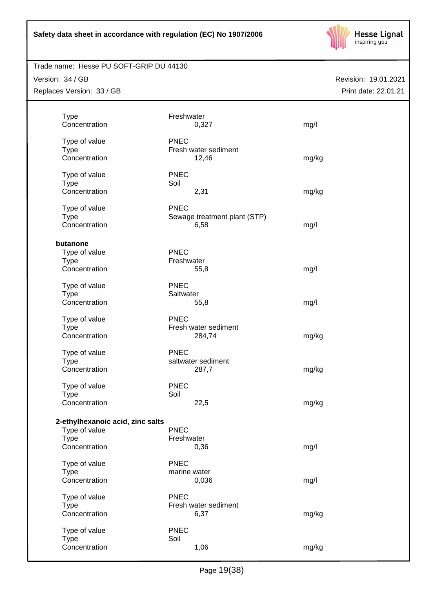

# Trade name: Hesse PU SOFT-GRIP DU 44130

Version: 34 / GB

Replaces Version: 33 / GB

| <b>Type</b>                      | Freshwater   |                              |       |
|----------------------------------|--------------|------------------------------|-------|
| Concentration                    |              | 0,327                        | mg/l  |
|                                  |              |                              |       |
| Type of value                    | <b>PNEC</b>  |                              |       |
| <b>Type</b>                      |              | Fresh water sediment         |       |
| Concentration                    |              | 12,46                        | mg/kg |
| Type of value                    | <b>PNEC</b>  |                              |       |
| <b>Type</b>                      | Soil         |                              |       |
| Concentration                    |              | 2,31                         | mg/kg |
|                                  |              |                              |       |
| Type of value                    | <b>PNEC</b>  |                              |       |
| <b>Type</b>                      |              | Sewage treatment plant (STP) |       |
| Concentration                    |              | 6,58                         | mg/l  |
| butanone                         |              |                              |       |
| Type of value                    | <b>PNEC</b>  |                              |       |
| <b>Type</b>                      | Freshwater   |                              |       |
| Concentration                    |              | 55,8                         | mg/l  |
|                                  |              |                              |       |
| Type of value                    | <b>PNEC</b>  |                              |       |
| <b>Type</b>                      | Saltwater    |                              |       |
| Concentration                    |              | 55,8                         | mg/l  |
| Type of value                    | <b>PNEC</b>  |                              |       |
| <b>Type</b>                      |              | Fresh water sediment         |       |
| Concentration                    |              | 284,74                       | mg/kg |
|                                  |              |                              |       |
| Type of value                    | <b>PNEC</b>  |                              |       |
| <b>Type</b>                      |              | saltwater sediment           |       |
| Concentration                    |              | 287,7                        | mg/kg |
| Type of value                    | <b>PNEC</b>  |                              |       |
| <b>Type</b>                      | Soil         |                              |       |
| Concentration                    |              | 22,5                         | mg/kg |
|                                  |              |                              |       |
| 2-ethylhexanoic acid, zinc salts |              |                              |       |
| Type of value                    | <b>PNEC</b>  |                              |       |
| Type                             | Freshwater   |                              |       |
| Concentration                    |              | 0,36                         | mg/l  |
| Type of value                    | <b>PNEC</b>  |                              |       |
| <b>Type</b>                      | marine water |                              |       |
| Concentration                    |              | 0,036                        |       |
|                                  |              |                              | mg/l  |
| Type of value                    | <b>PNEC</b>  |                              |       |
| <b>Type</b>                      |              | Fresh water sediment         |       |
| Concentration                    |              | 6,37                         | mg/kg |
| Type of value                    | <b>PNEC</b>  |                              |       |
| <b>Type</b>                      | Soil         |                              |       |
| Concentration                    |              | 1,06                         | mg/kg |
|                                  |              |                              |       |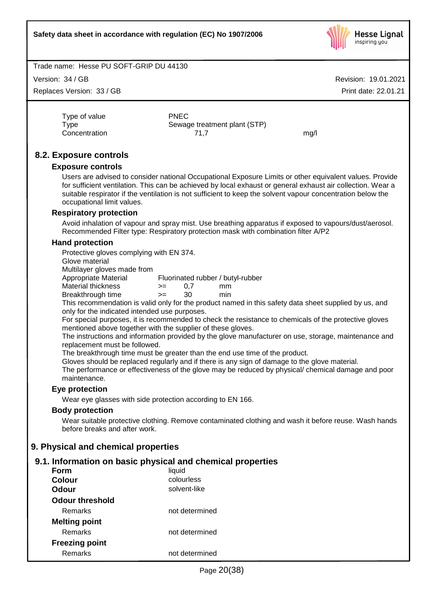

Version: 34 / GB

Replaces Version: 33 / GB

Revision: 19.01.2021 Print date: 22.01.21

Type of value **PNEC** 

Type Sewage treatment plant (STP) Concentration 71,7 mg/l

# **8.2. Exposure controls**

#### **Exposure controls**

Users are advised to consider national Occupational Exposure Limits or other equivalent values. Provide for sufficient ventilation. This can be achieved by local exhaust or general exhaust air collection. Wear a suitable respirator if the ventilation is not sufficient to keep the solvent vapour concentration below the occupational limit values.

# **Respiratory protection**

Avoid inhalation of vapour and spray mist. Use breathing apparatus if exposed to vapours/dust/aerosol. Recommended Filter type: Respiratory protection mask with combination filter A/P2

#### **Hand protection**

Protective gloves complying with EN 374.

Glove material

Multilayer gloves made from

Appropriate Material Fluorinated rubber / butyl-rubber

Material thickness  $\rightarrow$  = 0,7 mm

Breakthrough time >= 30 min This recommendation is valid only for the product named in this safety data sheet supplied by us, and

only for the indicated intended use purposes.

For special purposes, it is recommended to check the resistance to chemicals of the protective gloves mentioned above together with the supplier of these gloves.

The instructions and information provided by the glove manufacturer on use, storage, maintenance and replacement must be followed.

The breakthrough time must be greater than the end use time of the product.

Gloves should be replaced regularly and if there is any sign of damage to the glove material.

The performance or effectiveness of the glove may be reduced by physical/ chemical damage and poor maintenance.

# **Eye protection**

Wear eye glasses with side protection according to EN 166.

#### **Body protection**

Wear suitable protective clothing. Remove contaminated clothing and wash it before reuse. Wash hands before breaks and after work.

# **9. Physical and chemical properties**

# **9.1. Information on basic physical and chemical properties**

| Form                  | liquid         |
|-----------------------|----------------|
| <b>Colour</b>         | colourless     |
| Odour                 | solvent-like   |
| Odour threshold       |                |
| Remarks               | not determined |
| <b>Melting point</b>  |                |
| Remarks               | not determined |
| <b>Freezing point</b> |                |
| Remarks               | not determined |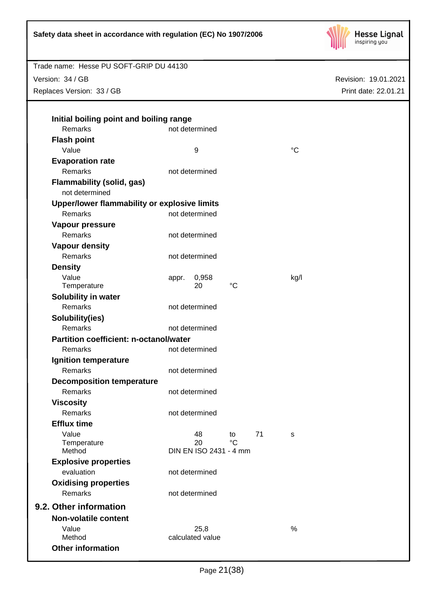

Version: 34 / GB Replaces Version: 33 / GB

| Remarks                                            |       | not determined         |               |    |             |  |
|----------------------------------------------------|-------|------------------------|---------------|----|-------------|--|
| <b>Flash point</b>                                 |       |                        |               |    |             |  |
| Value                                              |       | 9                      |               |    | $^{\circ}C$ |  |
| <b>Evaporation rate</b>                            |       |                        |               |    |             |  |
| Remarks                                            |       | not determined         |               |    |             |  |
| <b>Flammability (solid, gas)</b><br>not determined |       |                        |               |    |             |  |
| Upper/lower flammability or explosive limits       |       |                        |               |    |             |  |
| Remarks                                            |       | not determined         |               |    |             |  |
| Vapour pressure                                    |       |                        |               |    |             |  |
| Remarks                                            |       | not determined         |               |    |             |  |
| <b>Vapour density</b>                              |       |                        |               |    |             |  |
| Remarks                                            |       | not determined         |               |    |             |  |
| <b>Density</b>                                     |       |                        |               |    |             |  |
| Value<br>Temperature                               | appr. | 0,958<br>20            | $^{\circ}C$   |    | kg/l        |  |
| Solubility in water                                |       |                        |               |    |             |  |
| Remarks                                            |       | not determined         |               |    |             |  |
| Solubility(ies)                                    |       |                        |               |    |             |  |
| Remarks                                            |       | not determined         |               |    |             |  |
| Partition coefficient: n-octanol/water             |       |                        |               |    |             |  |
| Remarks                                            |       | not determined         |               |    |             |  |
| Ignition temperature                               |       |                        |               |    |             |  |
| Remarks                                            |       | not determined         |               |    |             |  |
| <b>Decomposition temperature</b>                   |       |                        |               |    |             |  |
| <b>Remarks</b>                                     |       | not determined         |               |    |             |  |
| <b>Viscosity</b>                                   |       |                        |               |    |             |  |
| Remarks                                            |       | not determined         |               |    |             |  |
| <b>Efflux time</b>                                 |       |                        |               |    |             |  |
| Value                                              |       | 48                     | $\mathsf{to}$ | 71 | s           |  |
| Temperature                                        |       | 20                     | $^{\circ}C$   |    |             |  |
| Method                                             |       | DIN EN ISO 2431 - 4 mm |               |    |             |  |
| <b>Explosive properties</b>                        |       |                        |               |    |             |  |
| evaluation                                         |       | not determined         |               |    |             |  |
| <b>Oxidising properties</b>                        |       |                        |               |    |             |  |
| Remarks                                            |       | not determined         |               |    |             |  |
| 9.2. Other information                             |       |                        |               |    |             |  |
| <b>Non-volatile content</b>                        |       |                        |               |    |             |  |
| Value                                              |       | 25,8                   |               |    | $\%$        |  |
| Method                                             |       | calculated value       |               |    |             |  |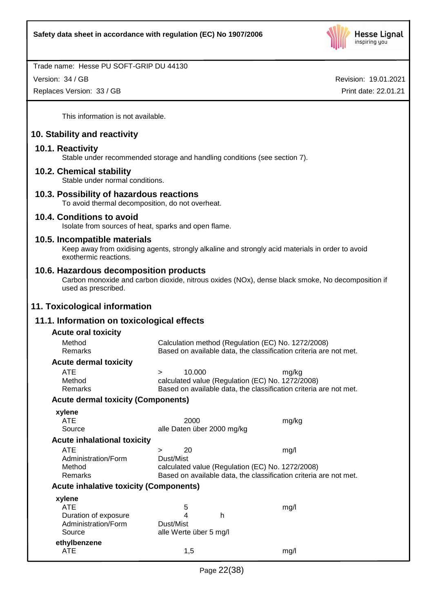

Version: 34 / GB

Replaces Version: 33 / GB

Revision: 19.01.2021 Print date: 22.01.21

This information is not available.

# **10. Stability and reactivity**

# **10.1. Reactivity**

Stable under recommended storage and handling conditions (see section 7).

#### **10.2. Chemical stability**

Stable under normal conditions.

# **10.3. Possibility of hazardous reactions**

To avoid thermal decomposition, do not overheat.

#### **10.4. Conditions to avoid**

Isolate from sources of heat, sparks and open flame.

#### **10.5. Incompatible materials**

Keep away from oxidising agents, strongly alkaline and strongly acid materials in order to avoid exothermic reactions.

#### **10.6. Hazardous decomposition products**

Carbon monoxide and carbon dioxide, nitrous oxides (NOx), dense black smoke, No decomposition if used as prescribed.

# **11. Toxicological information**

# **11.1. Information on toxicological effects**

| <b>Acute oral toxicity</b>                    |                                                                   |                                                                   |       |  |  |
|-----------------------------------------------|-------------------------------------------------------------------|-------------------------------------------------------------------|-------|--|--|
| Method                                        | Calculation method (Regulation (EC) No. 1272/2008)                |                                                                   |       |  |  |
| Remarks                                       | Based on available data, the classification criteria are not met. |                                                                   |       |  |  |
| <b>Acute dermal toxicity</b>                  |                                                                   |                                                                   |       |  |  |
| <b>ATE</b>                                    | $\geq$                                                            | 10.000                                                            | mg/kg |  |  |
| Method                                        |                                                                   | calculated value (Regulation (EC) No. 1272/2008)                  |       |  |  |
| Remarks                                       |                                                                   | Based on available data, the classification criteria are not met. |       |  |  |
| <b>Acute dermal toxicity (Components)</b>     |                                                                   |                                                                   |       |  |  |
| xylene                                        |                                                                   |                                                                   |       |  |  |
| ATE                                           |                                                                   | 2000                                                              | mg/kg |  |  |
| Source                                        |                                                                   | alle Daten über 2000 mg/kg                                        |       |  |  |
| <b>Acute inhalational toxicity</b>            |                                                                   |                                                                   |       |  |  |
| <b>ATE</b>                                    | $\geq$                                                            | 20                                                                | mg/l  |  |  |
| Administration/Form                           | Dust/Mist                                                         |                                                                   |       |  |  |
| Method                                        | calculated value (Regulation (EC) No. 1272/2008)                  |                                                                   |       |  |  |
| Remarks                                       |                                                                   | Based on available data, the classification criteria are not met. |       |  |  |
| <b>Acute inhalative toxicity (Components)</b> |                                                                   |                                                                   |       |  |  |
| xylene                                        |                                                                   |                                                                   |       |  |  |
| <b>ATE</b>                                    |                                                                   | 5                                                                 | mg/l  |  |  |
| Duration of exposure                          |                                                                   | 4<br>h                                                            |       |  |  |
| Administration/Form                           | Dust/Mist                                                         |                                                                   |       |  |  |
| Source                                        |                                                                   | alle Werte über 5 mg/l                                            |       |  |  |
| ethylbenzene                                  |                                                                   |                                                                   |       |  |  |
| ATE                                           |                                                                   | 1,5                                                               | mg/l  |  |  |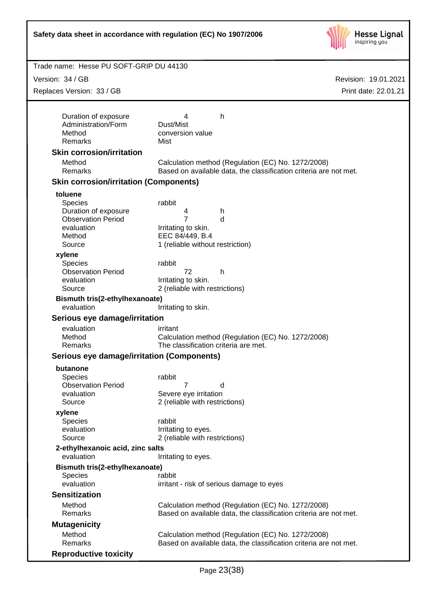

| Trade name: Hesse PU SOFT-GRIP DU 44130                                                                                       |                                                                                                |                                                                                                                         |                      |
|-------------------------------------------------------------------------------------------------------------------------------|------------------------------------------------------------------------------------------------|-------------------------------------------------------------------------------------------------------------------------|----------------------|
| Version: 34 / GB                                                                                                              |                                                                                                |                                                                                                                         | Revision: 19.01.2021 |
| Replaces Version: 33 / GB                                                                                                     |                                                                                                |                                                                                                                         | Print date: 22.01.21 |
|                                                                                                                               |                                                                                                |                                                                                                                         |                      |
| Duration of exposure<br>Administration/Form<br>Method<br>Remarks                                                              | 4<br>Dust/Mist<br>conversion value<br>Mist                                                     | h                                                                                                                       |                      |
| <b>Skin corrosion/irritation</b>                                                                                              |                                                                                                |                                                                                                                         |                      |
| Method<br>Remarks                                                                                                             |                                                                                                | Calculation method (Regulation (EC) No. 1272/2008)<br>Based on available data, the classification criteria are not met. |                      |
| <b>Skin corrosion/irritation (Components)</b>                                                                                 |                                                                                                |                                                                                                                         |                      |
| toluene<br><b>Species</b><br>Duration of exposure<br><b>Observation Period</b><br>evaluation<br>Method<br>Source              | rabbit<br>4<br>7<br>Irritating to skin.<br>EEC 84/449, B.4<br>1 (reliable without restriction) | h<br>d                                                                                                                  |                      |
| xylene<br><b>Species</b><br><b>Observation Period</b><br>evaluation<br>Source<br>Bismuth tris(2-ethylhexanoate)<br>evaluation | rabbit<br>72<br>Irritating to skin.<br>2 (reliable with restrictions)<br>Irritating to skin.   | h                                                                                                                       |                      |
| Serious eye damage/irritation                                                                                                 |                                                                                                |                                                                                                                         |                      |
| evaluation<br>Method<br>Remarks                                                                                               | irritant<br>The classification criteria are met.                                               | Calculation method (Regulation (EC) No. 1272/2008)                                                                      |                      |
| Serious eye damage/irritation (Components)                                                                                    |                                                                                                |                                                                                                                         |                      |
| butanone<br><b>Species</b><br><b>Observation Period</b><br>evaluation<br>Source                                               | rabbit<br>7.<br>Severe eye irritation<br>2 (reliable with restrictions)                        | d                                                                                                                       |                      |
| xylene<br><b>Species</b><br>evaluation<br>Source                                                                              | rabbit<br>Irritating to eyes.<br>2 (reliable with restrictions)                                |                                                                                                                         |                      |
| 2-ethylhexanoic acid, zinc salts<br>evaluation                                                                                | Irritating to eyes.                                                                            |                                                                                                                         |                      |
| Bismuth tris(2-ethylhexanoate)<br><b>Species</b><br>evaluation                                                                | rabbit                                                                                         | irritant - risk of serious damage to eyes                                                                               |                      |
| <b>Sensitization</b>                                                                                                          |                                                                                                |                                                                                                                         |                      |
| Method<br>Remarks                                                                                                             |                                                                                                | Calculation method (Regulation (EC) No. 1272/2008)<br>Based on available data, the classification criteria are not met. |                      |
| <b>Mutagenicity</b>                                                                                                           |                                                                                                |                                                                                                                         |                      |
| Method<br>Remarks                                                                                                             |                                                                                                | Calculation method (Regulation (EC) No. 1272/2008)<br>Based on available data, the classification criteria are not met. |                      |
| <b>Reproductive toxicity</b>                                                                                                  |                                                                                                |                                                                                                                         |                      |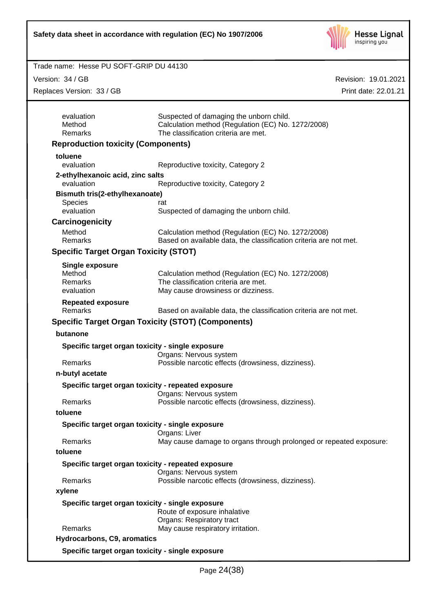

Revision: 19.01.2021

#### Trade name: Hesse PU SOFT-GRIP DU 44130

Version: 34 / GB

Replaces Version: 33 / GB

| aces Version: 33 / GB                          |                                                                                                                                       | Print date: 22.01.21 |
|------------------------------------------------|---------------------------------------------------------------------------------------------------------------------------------------|----------------------|
| evaluation<br>Method<br>Remarks                | Suspected of damaging the unborn child.<br>Calculation method (Regulation (EC) No. 1272/2008)<br>The classification criteria are met. |                      |
| <b>Reproduction toxicity (Components)</b>      |                                                                                                                                       |                      |
| toluene                                        |                                                                                                                                       |                      |
| evaluation                                     | Reproductive toxicity, Category 2                                                                                                     |                      |
| 2-ethylhexanoic acid, zinc salts<br>evaluation | Reproductive toxicity, Category 2                                                                                                     |                      |
| Bismuth tris(2-ethylhexanoate)                 |                                                                                                                                       |                      |
| Species<br>evaluation                          | rat<br>Suspected of damaging the unborn child.                                                                                        |                      |
| Carcinogenicity                                |                                                                                                                                       |                      |
| Method                                         | Calculation method (Regulation (EC) No. 1272/2008)                                                                                    |                      |
| Remarks                                        | Based on available data, the classification criteria are not met.                                                                     |                      |
| <b>Specific Target Organ Toxicity (STOT)</b>   |                                                                                                                                       |                      |
| <b>Single exposure</b>                         |                                                                                                                                       |                      |
| Method                                         | Calculation method (Regulation (EC) No. 1272/2008)                                                                                    |                      |
| Remarks                                        | The classification criteria are met.                                                                                                  |                      |
| evaluation                                     | May cause drowsiness or dizziness.                                                                                                    |                      |
| <b>Repeated exposure</b><br>Remarks            | Based on available data, the classification criteria are not met.                                                                     |                      |
|                                                | <b>Specific Target Organ Toxicity (STOT) (Components)</b>                                                                             |                      |
| butanone                                       |                                                                                                                                       |                      |
|                                                | Specific target organ toxicity - single exposure                                                                                      |                      |
|                                                | Organs: Nervous system                                                                                                                |                      |
| Remarks                                        | Possible narcotic effects (drowsiness, dizziness).                                                                                    |                      |
| n-butyl acetate                                |                                                                                                                                       |                      |
|                                                | Specific target organ toxicity - repeated exposure                                                                                    |                      |
|                                                | Organs: Nervous system                                                                                                                |                      |
| Remarks                                        | Possible narcotic effects (drowsiness, dizziness).                                                                                    |                      |
| toluene                                        |                                                                                                                                       |                      |
|                                                | Specific target organ toxicity - single exposure<br>Organs: Liver                                                                     |                      |
| Remarks                                        | May cause damage to organs through prolonged or repeated exposure:                                                                    |                      |
| toluene                                        |                                                                                                                                       |                      |
|                                                | Specific target organ toxicity - repeated exposure<br>Organs: Nervous system                                                          |                      |
| Remarks                                        | Possible narcotic effects (drowsiness, dizziness).                                                                                    |                      |
| xylene                                         |                                                                                                                                       |                      |
|                                                | Specific target organ toxicity - single exposure<br>Route of exposure inhalative<br>Organs: Respiratory tract                         |                      |
| Remarks                                        | May cause respiratory irritation.                                                                                                     |                      |
| Hydrocarbons, C9, aromatics                    |                                                                                                                                       |                      |

**Specific target organ toxicity - single exposure**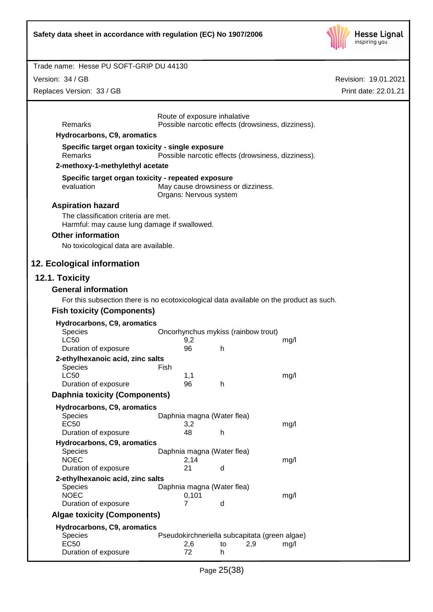

Revision: 19.01.2021

Print date: 22.01.21

#### Trade name: Hesse PU SOFT-GRIP DU 44130

Version: 34 / GB

Replaces Version: 33 / GB

|                                                    |                                                                                         | Route of exposure inhalative                                 |                                                    |  |
|----------------------------------------------------|-----------------------------------------------------------------------------------------|--------------------------------------------------------------|----------------------------------------------------|--|
| Remarks                                            |                                                                                         |                                                              | Possible narcotic effects (drowsiness, dizziness). |  |
| Hydrocarbons, C9, aromatics                        |                                                                                         |                                                              |                                                    |  |
| Remarks                                            | Specific target organ toxicity - single exposure                                        |                                                              | Possible narcotic effects (drowsiness, dizziness). |  |
| 2-methoxy-1-methylethyl acetate                    |                                                                                         |                                                              |                                                    |  |
|                                                    | Specific target organ toxicity - repeated exposure                                      |                                                              |                                                    |  |
| evaluation                                         |                                                                                         | May cause drowsiness or dizziness.<br>Organs: Nervous system |                                                    |  |
| <b>Aspiration hazard</b>                           |                                                                                         |                                                              |                                                    |  |
| The classification criteria are met.               | Harmful: may cause lung damage if swallowed.                                            |                                                              |                                                    |  |
| <b>Other information</b>                           |                                                                                         |                                                              |                                                    |  |
| No toxicological data are available.               |                                                                                         |                                                              |                                                    |  |
| 12. Ecological information                         |                                                                                         |                                                              |                                                    |  |
| 12.1. Toxicity                                     |                                                                                         |                                                              |                                                    |  |
| <b>General information</b>                         |                                                                                         |                                                              |                                                    |  |
|                                                    | For this subsection there is no ecotoxicological data available on the product as such. |                                                              |                                                    |  |
| <b>Fish toxicity (Components)</b>                  |                                                                                         |                                                              |                                                    |  |
|                                                    |                                                                                         |                                                              |                                                    |  |
| Hydrocarbons, C9, aromatics<br>Species             |                                                                                         | Oncorhynchus mykiss (rainbow trout)                          |                                                    |  |
| <b>LC50</b>                                        | 9,2                                                                                     |                                                              | mg/l                                               |  |
| Duration of exposure                               | 96                                                                                      | h                                                            |                                                    |  |
| 2-ethylhexanoic acid, zinc salts                   |                                                                                         |                                                              |                                                    |  |
| Species                                            | Fish                                                                                    |                                                              |                                                    |  |
| <b>LC50</b><br>Duration of exposure                | 1,1<br>96                                                                               | h                                                            | mg/l                                               |  |
| <b>Daphnia toxicity (Components)</b>               |                                                                                         |                                                              |                                                    |  |
|                                                    |                                                                                         |                                                              |                                                    |  |
| Hydrocarbons, C9, aromatics<br>Species             |                                                                                         | Daphnia magna (Water flea)                                   |                                                    |  |
| <b>EC50</b>                                        | 3,2                                                                                     |                                                              | mg/l                                               |  |
| Duration of exposure                               | 48                                                                                      | h                                                            |                                                    |  |
| Hydrocarbons, C9, aromatics                        |                                                                                         |                                                              |                                                    |  |
| <b>Species</b>                                     |                                                                                         | Daphnia magna (Water flea)                                   |                                                    |  |
| <b>NOEC</b>                                        | 2,14                                                                                    |                                                              | mg/l                                               |  |
| Duration of exposure                               | 21                                                                                      | d                                                            |                                                    |  |
| 2-ethylhexanoic acid, zinc salts<br><b>Species</b> |                                                                                         | Daphnia magna (Water flea)                                   |                                                    |  |
| <b>NOEC</b>                                        |                                                                                         | 0,101                                                        | mg/l                                               |  |
| Duration of exposure                               | 7                                                                                       | d                                                            |                                                    |  |
| <b>Algae toxicity (Components)</b>                 |                                                                                         |                                                              |                                                    |  |
| Hydrocarbons, C9, aromatics                        |                                                                                         |                                                              |                                                    |  |
| <b>Species</b>                                     |                                                                                         |                                                              | Pseudokirchneriella subcapitata (green algae)      |  |
| <b>EC50</b><br>Duration of exposure                | 2,6<br>72                                                                               | to<br>h                                                      | 2,9<br>mg/l                                        |  |
|                                                    |                                                                                         |                                                              |                                                    |  |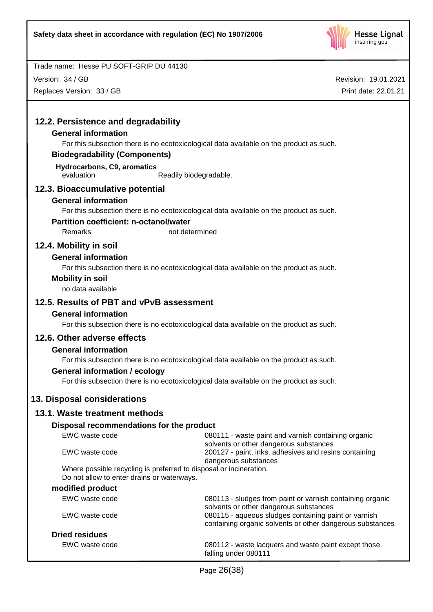

Version: 34 / GB

Replaces Version: 33 / GB

| 12.2. Persistence and degradability                                                     |                                                                                                     |
|-----------------------------------------------------------------------------------------|-----------------------------------------------------------------------------------------------------|
| <b>General information</b>                                                              |                                                                                                     |
| For this subsection there is no ecotoxicological data available on the product as such. |                                                                                                     |
| <b>Biodegradability (Components)</b>                                                    |                                                                                                     |
| Hydrocarbons, C9, aromatics                                                             |                                                                                                     |
| evaluation<br>Readily biodegradable.                                                    |                                                                                                     |
| 12.3. Bioaccumulative potential                                                         |                                                                                                     |
| <b>General information</b>                                                              |                                                                                                     |
| For this subsection there is no ecotoxicological data available on the product as such. |                                                                                                     |
| <b>Partition coefficient: n-octanol/water</b>                                           |                                                                                                     |
| Remarks<br>not determined                                                               |                                                                                                     |
| 12.4. Mobility in soil                                                                  |                                                                                                     |
| <b>General information</b>                                                              |                                                                                                     |
| For this subsection there is no ecotoxicological data available on the product as such. |                                                                                                     |
| <b>Mobility in soil</b>                                                                 |                                                                                                     |
| no data available                                                                       |                                                                                                     |
| 12.5. Results of PBT and vPvB assessment                                                |                                                                                                     |
| <b>General information</b>                                                              |                                                                                                     |
| For this subsection there is no ecotoxicological data available on the product as such. |                                                                                                     |
| 12.6. Other adverse effects                                                             |                                                                                                     |
| <b>General information</b>                                                              |                                                                                                     |
| For this subsection there is no ecotoxicological data available on the product as such. |                                                                                                     |
| <b>General information / ecology</b>                                                    |                                                                                                     |
| For this subsection there is no ecotoxicological data available on the product as such. |                                                                                                     |
| 13. Disposal considerations                                                             |                                                                                                     |
|                                                                                         |                                                                                                     |
| 13.1. Waste treatment methods                                                           |                                                                                                     |
| Disposal recommendations for the product                                                |                                                                                                     |
| EWC waste code                                                                          | 080111 - waste paint and varnish containing organic                                                 |
| EWC waste code                                                                          | solvents or other dangerous substances<br>200127 - paint, inks, adhesives and resins containing     |
|                                                                                         | dangerous substances                                                                                |
| Where possible recycling is preferred to disposal or incineration.                      |                                                                                                     |
| Do not allow to enter drains or waterways.                                              |                                                                                                     |
| modified product<br>EWC waste code                                                      |                                                                                                     |
|                                                                                         | 080113 - sludges from paint or varnish containing organic<br>solvents or other dangerous substances |
| EWC waste code                                                                          | 080115 - aqueous sludges containing paint or varnish                                                |
|                                                                                         | containing organic solvents or other dangerous substances                                           |
| <b>Dried residues</b>                                                                   |                                                                                                     |
| EWC waste code                                                                          | 080112 - waste lacquers and waste paint except those<br>falling under 080111                        |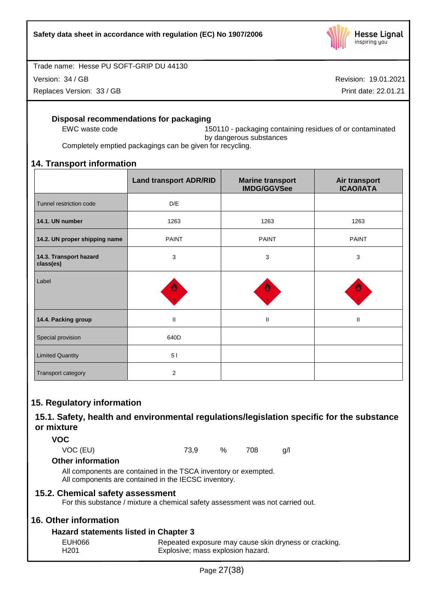

Version: 34 / GB

Replaces Version: 33 / GB

Revision: 19.01.2021

Print date: 22.01.21

# **Disposal recommendations for packaging**

EWC waste code 150110 - packaging containing residues of or contaminated by dangerous substances

Completely emptied packagings can be given for recycling.

# **14. Transport information**

|                                     | <b>Land transport ADR/RID</b> | <b>Marine transport</b><br><b>IMDG/GGVSee</b> | Air transport<br><b>ICAO/IATA</b> |
|-------------------------------------|-------------------------------|-----------------------------------------------|-----------------------------------|
| Tunnel restriction code             | D/E                           |                                               |                                   |
| 14.1. UN number                     | 1263                          | 1263                                          | 1263                              |
| 14.2. UN proper shipping name       | <b>PAINT</b>                  | <b>PAINT</b>                                  | <b>PAINT</b>                      |
| 14.3. Transport hazard<br>class(es) | 3                             | 3                                             | 3                                 |
| Label                               | 뺸                             |                                               |                                   |
| 14.4. Packing group                 | $\mathbf{I}$                  | $\mathbf{II}$                                 | $\mathbf{II}$                     |
| Special provision                   | 640D                          |                                               |                                   |
| <b>Limited Quantity</b>             | 51                            |                                               |                                   |
| Transport category                  | 2                             |                                               |                                   |

# **15. Regulatory information**

# **15.1. Safety, health and environmental regulations/legislation specific for the substance or mixture**

**VOC**

VOC (EU) 73,9 % 708 g/l

**Other information**

All components are contained in the TSCA inventory or exempted. All components are contained in the IECSC inventory.

# **15.2. Chemical safety assessment**

For this substance / mixture a chemical safety assessment was not carried out.

# **16. Other information**

# **Hazard statements listed in Chapter 3**

| EUH066 | Repeated exposure may cause skin dryness or cracking. |
|--------|-------------------------------------------------------|
| H201   | Explosive; mass explosion hazard.                     |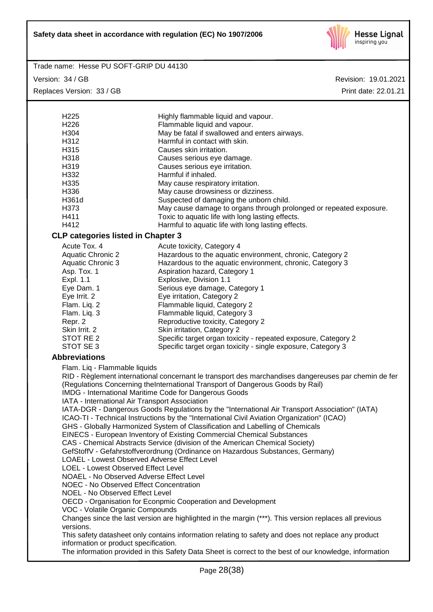

Version: 34 / GB Replaces Version: 33 / GB

| H <sub>225</sub>                                                                                        | Highly flammable liquid and vapour.                                                                  |  |  |  |
|---------------------------------------------------------------------------------------------------------|------------------------------------------------------------------------------------------------------|--|--|--|
| H <sub>226</sub>                                                                                        | Flammable liquid and vapour.                                                                         |  |  |  |
| H304                                                                                                    | May be fatal if swallowed and enters airways.                                                        |  |  |  |
| H312                                                                                                    | Harmful in contact with skin.                                                                        |  |  |  |
| H315                                                                                                    | Causes skin irritation.                                                                              |  |  |  |
| H318                                                                                                    | Causes serious eye damage.                                                                           |  |  |  |
| H319                                                                                                    | Causes serious eye irritation.                                                                       |  |  |  |
| H332                                                                                                    | Harmful if inhaled.                                                                                  |  |  |  |
| H335                                                                                                    | May cause respiratory irritation.                                                                    |  |  |  |
| H336                                                                                                    | May cause drowsiness or dizziness.                                                                   |  |  |  |
| H361d                                                                                                   | Suspected of damaging the unborn child.                                                              |  |  |  |
| H373                                                                                                    | May cause damage to organs through prolonged or repeated exposure.                                   |  |  |  |
| H411                                                                                                    | Toxic to aquatic life with long lasting effects.                                                     |  |  |  |
| H412                                                                                                    | Harmful to aquatic life with long lasting effects.                                                   |  |  |  |
| <b>CLP categories listed in Chapter 3</b>                                                               |                                                                                                      |  |  |  |
| Acute Tox. 4                                                                                            | Acute toxicity, Category 4                                                                           |  |  |  |
| <b>Aquatic Chronic 2</b>                                                                                | Hazardous to the aquatic environment, chronic, Category 2                                            |  |  |  |
| <b>Aquatic Chronic 3</b>                                                                                | Hazardous to the aquatic environment, chronic, Category 3                                            |  |  |  |
| Asp. Tox. 1                                                                                             | Aspiration hazard, Category 1                                                                        |  |  |  |
| Expl. 1.1                                                                                               | Explosive, Division 1.1                                                                              |  |  |  |
| Eye Dam. 1                                                                                              | Serious eye damage, Category 1                                                                       |  |  |  |
| Eye Irrit. 2                                                                                            | Eye irritation, Category 2                                                                           |  |  |  |
| Flam. Liq. 2                                                                                            | Flammable liquid, Category 2                                                                         |  |  |  |
| Flam. Liq. 3                                                                                            | Flammable liquid, Category 3                                                                         |  |  |  |
| Repr. 2                                                                                                 | Reproductive toxicity, Category 2                                                                    |  |  |  |
| Skin Irrit. 2                                                                                           | Skin irritation, Category 2                                                                          |  |  |  |
| STOT RE 2<br>STOT SE 3                                                                                  | Specific target organ toxicity - repeated exposure, Category 2                                       |  |  |  |
|                                                                                                         | Specific target organ toxicity - single exposure, Category 3                                         |  |  |  |
| <b>Abbreviations</b>                                                                                    |                                                                                                      |  |  |  |
| Flam. Liq - Flammable liquids                                                                           |                                                                                                      |  |  |  |
|                                                                                                         | RID - Règlement international concernant le transport des marchandises dangereuses par chemin de fer |  |  |  |
|                                                                                                         | (Regulations Concerning theInternational Transport of Dangerous Goods by Rail)                       |  |  |  |
|                                                                                                         | IMDG - International Maritime Code for Dangerous Goods                                               |  |  |  |
| IATA - International Air Transport Association                                                          |                                                                                                      |  |  |  |
|                                                                                                         | IATA-DGR - Dangerous Goods Regulations by the "International Air Transport Association" (IATA)       |  |  |  |
|                                                                                                         | ICAO-TI - Technical Instructions by the "International Civil Aviation Organization" (ICAO)           |  |  |  |
|                                                                                                         | GHS - Globally Harmonized System of Classification and Labelling of Chemicals                        |  |  |  |
|                                                                                                         | EINECS - European Inventory of Existing Commercial Chemical Substances                               |  |  |  |
|                                                                                                         | CAS - Chemical Abstracts Service (division of the American Chemical Society)                         |  |  |  |
| GefStoffV - Gefahrstoffverordnung (Ordinance on Hazardous Substances, Germany)                          |                                                                                                      |  |  |  |
| LOAEL - Lowest Observed Adverse Effect Level                                                            |                                                                                                      |  |  |  |
| LOEL - Lowest Observed Effect Level<br>NOAEL - No Observed Adverse Effect Level                         |                                                                                                      |  |  |  |
| <b>NOEC - No Observed Effect Concentration</b>                                                          |                                                                                                      |  |  |  |
| NOEL - No Observed Effect Level                                                                         |                                                                                                      |  |  |  |
| OECD - Organisation for Econpmic Cooperation and Development                                            |                                                                                                      |  |  |  |
| VOC - Volatile Organic Compounds                                                                        |                                                                                                      |  |  |  |
| Changes since the last version are highlighted in the margin (***). This version replaces all previous  |                                                                                                      |  |  |  |
| versions.                                                                                               |                                                                                                      |  |  |  |
| This safety datasheet only contains information relating to safety and does not replace any product     |                                                                                                      |  |  |  |
| information or product specification.                                                                   |                                                                                                      |  |  |  |
| The information provided in this Safety Data Sheet is correct to the best of our knowledge, information |                                                                                                      |  |  |  |
|                                                                                                         |                                                                                                      |  |  |  |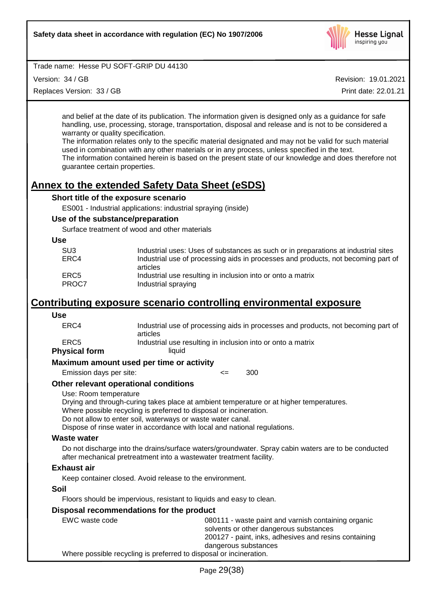

Version: 34 / GB

Replaces Version: 33 / GB

Revision: 19.01.2021

Print date: 22.01.21

and belief at the date of its publication. The information given is designed only as a guidance for safe handling, use, processing, storage, transportation, disposal and release and is not to be considered a warranty or quality specification.

The information relates only to the specific material designated and may not be valid for such material used in combination with any other materials or in any process, unless specified in the text.

The information contained herein is based on the present state of our knowledge and does therefore not guarantee certain properties.

# **Annex to the extended Safety Data Sheet (eSDS)**

# **Short title of the exposure scenario**

ES001 - Industrial applications: industrial spraying (inside)

#### **Use of the substance/preparation**

Surface treatment of wood and other materials

#### **Use**

| SU3           | Industrial uses: Uses of substances as such or in preparations at industrial sites             |
|---------------|------------------------------------------------------------------------------------------------|
| ERC4          | Industrial use of processing aids in processes and products, not becoming part of              |
| ERC5<br>PROC7 | articles<br>Industrial use resulting in inclusion into or onto a matrix<br>Industrial spraying |

# **Contributing exposure scenario controlling environmental exposure**

# **Use**

| ERC4                                     | Industrial use of processing aids in processes and products, not becoming part of<br>articles |  |  |
|------------------------------------------|-----------------------------------------------------------------------------------------------|--|--|
| ERC <sub>5</sub><br><b>Physical form</b> | Industrial use resulting in inclusion into or onto a matrix<br>liauid                         |  |  |
|                                          | Maximum amount used per time or activity                                                      |  |  |
| Emission days per site:                  | 300<br><=                                                                                     |  |  |
|                                          |                                                                                               |  |  |

# **Other relevant operational conditions**

#### Use: Room temperature

Drying and through-curing takes place at ambient temperature or at higher temperatures.

Where possible recycling is preferred to disposal or incineration.

Do not allow to enter soil, waterways or waste water canal.

Dispose of rinse water in accordance with local and national regulations.

#### **Waste water**

Do not discharge into the drains/surface waters/groundwater. Spray cabin waters are to be conducted after mechanical pretreatment into a wastewater treatment facility.

#### **Exhaust air**

Keep container closed. Avoid release to the environment.

#### **Soil**

Floors should be impervious, resistant to liquids and easy to clean.

#### **Disposal recommendations for the product**

| EWC waste code                                                     | 080111 - waste paint and varnish containing organic   |  |  |
|--------------------------------------------------------------------|-------------------------------------------------------|--|--|
|                                                                    | solvents or other dangerous substances                |  |  |
|                                                                    | 200127 - paint, inks, adhesives and resins containing |  |  |
|                                                                    | dangerous substances                                  |  |  |
| Where possible recycling is preferred to disposal or incineration. |                                                       |  |  |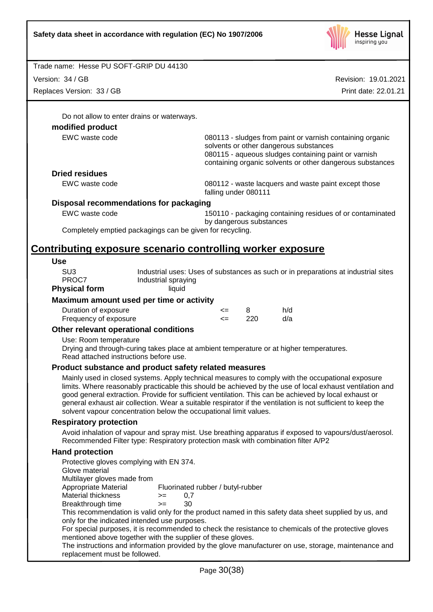

Version: 34 / GB

Replaces Version: 33 / GB

Revision: 19.01.2021 Print date: 22.01.21

Do not allow to enter drains or waterways.

# **modified product**

EWC waste code 080113 - sludges from paint or varnish containing organic solvents or other dangerous substances 080115 - aqueous sludges containing paint or varnish containing organic solvents or other dangerous substances

# **Dried residues**

EWC waste code 080112 - waste lacquers and waste paint except those falling under 080111

# **Disposal recommendations for packaging**

EWC waste code 150110 - packaging containing residues of or contaminated by dangerous substances

Completely emptied packagings can be given for recycling.

# **Contributing exposure scenario controlling worker exposure**

#### **Use**

SU3 Industrial uses: Uses of substances as such or in preparations at industrial sites PROC7 Industrial spraying

#### **Physical form** liquid

# **Maximum amount used per time or activity**

| Duration of exposure  | <= |     | h/d |
|-----------------------|----|-----|-----|
| Frequency of exposure | <= | 220 | d/a |

# **Other relevant operational conditions**

Use: Room temperature

Drying and through-curing takes place at ambient temperature or at higher temperatures. Read attached instructions before use.

# **Product substance and product safety related measures**

Mainly used in closed systems. Apply technical measures to comply with the occupational exposure limits. Where reasonably practicable this should be achieved by the use of local exhaust ventilation and good general extraction. Provide for sufficient ventilation. This can be achieved by local exhaust or general exhaust air collection. Wear a suitable respirator if the ventilation is not sufficient to keep the solvent vapour concentration below the occupational limit values.

# **Respiratory protection**

Avoid inhalation of vapour and spray mist. Use breathing apparatus if exposed to vapours/dust/aerosol. Recommended Filter type: Respiratory protection mask with combination filter A/P2

# **Hand protection**

| Protective gloves complying with EN 374.<br>Glove material<br>Multilayer gloves made from                                                              |      |                                   |  |
|--------------------------------------------------------------------------------------------------------------------------------------------------------|------|-----------------------------------|--|
| Appropriate Material                                                                                                                                   |      | Fluorinated rubber / butyl-rubber |  |
| Material thickness                                                                                                                                     | $>=$ | 0.7                               |  |
| Breakthrough time                                                                                                                                      | $>=$ | 30                                |  |
| This recommendation is valid only for the product named in this safety data sheet supplied by us, and<br>only for the indicated intended use purposes. |      |                                   |  |
| For special purposes, it is recommended to check the resistance to chemicals of the protective gloves                                                  |      |                                   |  |
| mentioned above together with the supplier of these gloves.                                                                                            |      |                                   |  |
| The instructions and information provided by the glove manufacturer on use, storage, maintenance and<br>replacement must be followed.                  |      |                                   |  |
|                                                                                                                                                        |      |                                   |  |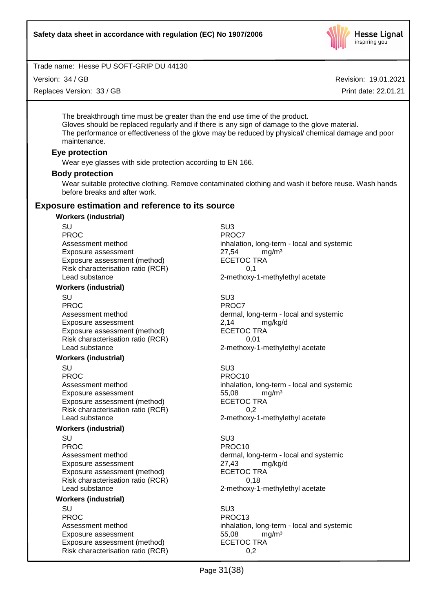

Version: 34 / GB

Replaces Version: 33 / GB

Revision: 19.01.2021

Print date: 22.01.21

The breakthrough time must be greater than the end use time of the product. Gloves should be replaced regularly and if there is any sign of damage to the glove material. The performance or effectiveness of the glove may be reduced by physical/ chemical damage and poor maintenance.

#### **Eye protection**

Wear eye glasses with side protection according to EN 166.

# **Body protection**

Wear suitable protective clothing. Remove contaminated clothing and wash it before reuse. Wash hands before breaks and after work.

# **Exposure estimation and reference to its source**

#### **Workers (industrial)**

SU SU3 PROC<sup>PROC</sup> PROCT Exposure assessment end and the state of the 27,54 mg/m<sup>3</sup><br>Exposure assessment (method) ECETOC TRA Exposure assessment (method) Risk characterisation ratio (RCR) 0,1 Lead substance 2-methoxy-1-methylethyl acetate

#### **Workers (industrial)**

SU SU3 PROC<sup>PROC</sup> PROCT Exposure assessment <br>
Exposure assessment (method) 
<br>
ECETOC TRA Exposure assessment (method) Risk characterisation ratio (RCR) 0,01 Lead substance 2-methoxy-1-methylethyl acetate

#### **Workers (industrial)**

SU SU3 PROC PROCTES PROCTES Exposure assessment and the three states of the S5,08 mg/m<sup>3</sup><br>Exposure assessment (method) exposure the SCETOC TRA Exposure assessment (method) Risk characterisation ratio (RCR) 0,2 Lead substance example 2-methoxy-1-methylethyl acetate

#### **Workers (industrial)**

SU SU3 PROC PROC10 Exposure assessment <br>
Exposure assessment (method) 
ECETOC TRA Exposure assessment (method) Risk characterisation ratio (RCR) 0,18 Lead substance **2-methoxy-1-methylethyl** acetate

#### **Workers (industrial)**

SU SU3 PROC PROC13 Exposure assessment diffusive to the S5,08 mg/m<sup>3</sup><br>Exposure assessment (method) ECETOC TRA Exposure assessment (method) Risk characterisation ratio (RCR) 0,2

Assessment method inhalation, long-term - local and systemic

Assessment method dermal, long-term - local and systemic

Assessment method inhalation, long-term - local and systemic

Assessment method dermal, long-term - local and systemic

Assessment method inhalation, long-term - local and systemic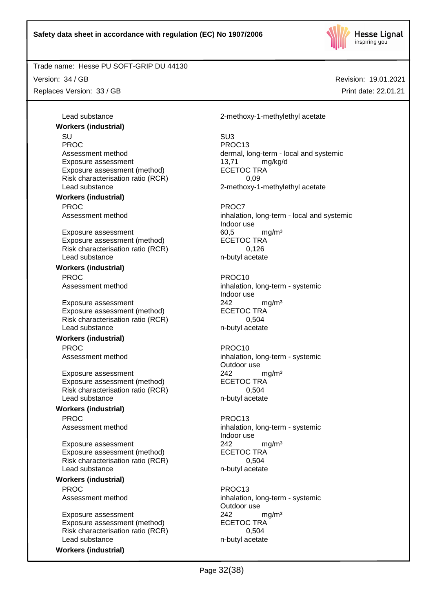

Version: 34 / GB

Replaces Version: 33 / GB

Revision: 19.01.2021 Print date: 22.01.21

Lead substance 2-methoxy-1-methylethyl acetate

SU SU3 PROC PROC13 Assessment method dermal, long-term - local and systemic Exposure assessment and the 13,71 mg/kg/d 2-methoxy-1-methylethyl acetate

Assessment method inhalation, long-term - local and systemic Indoor use

Assessment method inhalation, long-term - systemic Indoor use

Assessment method inhalation, long-term - systemic Outdoor use

Assessment method inhalation, long-term - systemic Indoor use

Assessment method inhalation, long-term - systemic Outdoor use

Page 32(38)

Exposure assessment (method) ECETOC TRA Risk characterisation ratio (RCR)  $0.09$ <br>
Lead substance 2-methoxv-1

**Workers (industrial)**

**Workers (industrial)** PROC<sup>P</sup> PROCT PROCT

Exposure assessment and the control of the control of the control of the control of the control of the ECETOC TRA<br>
ECETOC TRA Exposure assessment (method) Risk characterisation ratio (RCR) 0,126 Lead substance n-butyl acetate

#### **Workers (industrial)**

PROC PROCTES PROCTES

Exposure assessment 242 mg/m<sup>3</sup> Exposure assessment (method) ECETOC TRA Risk characterisation ratio (RCR) 0,504 Lead substance n-butyl acetate

#### **Workers (industrial)**

PROC PROCTER PROCTER PROCTER PROCTER PROCTER PROCTER PROCTER PROCTER PROCTER PROCTER PROCTER PROCTER PROCTER PROCTER PROCTER PROCTER PROCTER PROCTER PROCTER PROCTER PROCTER PROCTER PROCTER PROCTER PROCTER PROCTER PROCTER P

Exposure assessment 242 mg/m<sup>3</sup> Exposure assessment (method) ECETOC TRA Risk characterisation ratio (RCR) 6,504 Lead substance n-butyl acetate

# **Workers (industrial)**

PROC PROC13

Exposure assessment <br>
Exposure assessment (method) 
<br>
ECETOC TRA Exposure assessment (method) Risk characterisation ratio (RCR) 0,504 Lead substance n-butyl acetate

**Workers (industrial)** PROC PROC13

Exposure assessment <br>
Exposure assessment (method) 
<br>
ECETOC TRA Exposure assessment (method) Risk characterisation ratio (RCR) 6,504 Lead substance n-butyl acetate

**Workers (industrial)**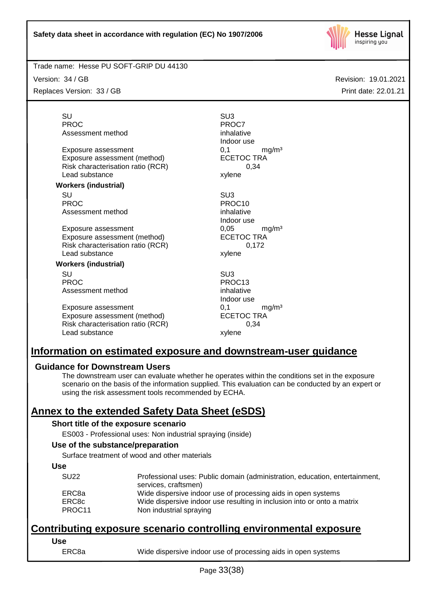

Version: 34 / GB

Replaces Version: 33 / GB

Revision: 19.01.2021 Print date: 22.01.21

SU SU3 PROC<sup>PROC</sup> PROCT Assessment method inhalative

Exposure assessment  $0,1$  mg/m<sup>3</sup><br>Exposure assessment (method) ECETOC TRA Exposure assessment (method) Risk characterisation ratio (RCR) 0,34 Lead substance xylene

#### **Workers (industrial)**

SU SU3 PROC PROCTER PROCTER PROCTER PROCTER PROCTER PROCTER PROCTER PROCTER PROCTER PROCTER PROCTER PROCTER PROCTER PROCTER PROCTER PROCTER PROCTER PROCTER PROCTER PROCTER PROCTER PROCTER PROCTER PROCTER PROCTER PROCTER PROCTER P Assessment method inhalative

Exposure assessment 6,05 mg/m<sup>3</sup> Exposure assessment (method) ECETOC TRA Risk characterisation ratio (RCR) 0,172 Lead substance xylene

#### **Workers (industrial)**

SU SU3 PROC PROC13 Assessment method inhalative

Exposure assessment determined by the control of the match of the match match match match exponent of the ECETOC TRA match match match match match match match match match match match match match match match match match mat Exposure assessment (method) Risk characterisation ratio (RCR) 0,34 Lead substance xylene

Indoor use

Indoor use

Indoor use

# **Information on estimated exposure and downstream-user guidance**

# **Guidance for Downstream Users**

The downstream user can evaluate whether he operates within the conditions set in the exposure scenario on the basis of the information supplied. This evaluation can be conducted by an expert or using the risk assessment tools recommended by ECHA.

# **Annex to the extended Safety Data Sheet (eSDS)**

# **Short title of the exposure scenario**

ES003 - Professional uses: Non industrial spraying (inside)

# **Use of the substance/preparation**

Surface treatment of wood and other materials

#### **Use**

| <b>SU22</b> | Professional uses: Public domain (administration, education, entertainment,<br>services, craftsmen) |
|-------------|-----------------------------------------------------------------------------------------------------|
| ERC8a       | Wide dispersive indoor use of processing aids in open systems                                       |
| ERC8c       | Wide dispersive indoor use resulting in inclusion into or onto a matrix                             |
| PROC11      | Non industrial spraying                                                                             |

# **Contributing exposure scenario controlling environmental exposure**

## **Use**

ERC8a Wide dispersive indoor use of processing aids in open systems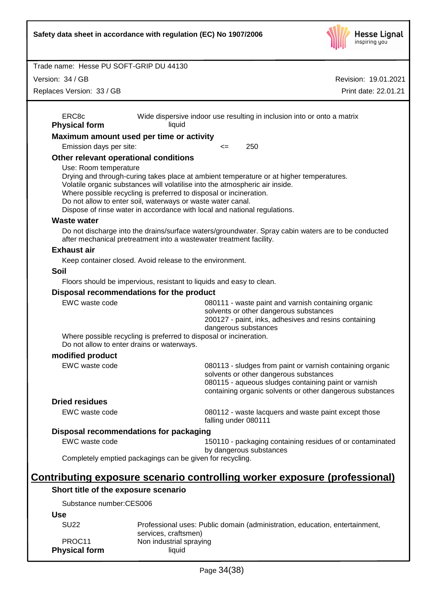|                                            | Safety data sheet in accordance with regulation (EC) No 1907/2006                                                                                                                                                                                                                                                                                                                         | <b>Hesse Lignal</b><br>inspiring you                                                                                   |
|--------------------------------------------|-------------------------------------------------------------------------------------------------------------------------------------------------------------------------------------------------------------------------------------------------------------------------------------------------------------------------------------------------------------------------------------------|------------------------------------------------------------------------------------------------------------------------|
| Trade name: Hesse PU SOFT-GRIP DU 44130    |                                                                                                                                                                                                                                                                                                                                                                                           |                                                                                                                        |
| Version: 34 / GB                           |                                                                                                                                                                                                                                                                                                                                                                                           | Revision: 19.01.2021                                                                                                   |
| Replaces Version: 33 / GB                  |                                                                                                                                                                                                                                                                                                                                                                                           | Print date: 22.01.21                                                                                                   |
|                                            |                                                                                                                                                                                                                                                                                                                                                                                           |                                                                                                                        |
| ERC8c<br><b>Physical form</b>              | Wide dispersive indoor use resulting in inclusion into or onto a matrix<br>liquid                                                                                                                                                                                                                                                                                                         |                                                                                                                        |
|                                            | Maximum amount used per time or activity                                                                                                                                                                                                                                                                                                                                                  |                                                                                                                        |
| Emission days per site:                    | 250<br><=                                                                                                                                                                                                                                                                                                                                                                                 |                                                                                                                        |
| Other relevant operational conditions      |                                                                                                                                                                                                                                                                                                                                                                                           |                                                                                                                        |
| Use: Room temperature                      | Drying and through-curing takes place at ambient temperature or at higher temperatures.<br>Volatile organic substances will volatilise into the atmospheric air inside.<br>Where possible recycling is preferred to disposal or incineration.<br>Do not allow to enter soil, waterways or waste water canal.<br>Dispose of rinse water in accordance with local and national regulations. |                                                                                                                        |
| <b>Waste water</b>                         |                                                                                                                                                                                                                                                                                                                                                                                           |                                                                                                                        |
|                                            | Do not discharge into the drains/surface waters/groundwater. Spray cabin waters are to be conducted<br>after mechanical pretreatment into a wastewater treatment facility.                                                                                                                                                                                                                |                                                                                                                        |
| <b>Exhaust air</b>                         |                                                                                                                                                                                                                                                                                                                                                                                           |                                                                                                                        |
|                                            | Keep container closed. Avoid release to the environment.                                                                                                                                                                                                                                                                                                                                  |                                                                                                                        |
| <b>Soil</b>                                |                                                                                                                                                                                                                                                                                                                                                                                           |                                                                                                                        |
|                                            | Floors should be impervious, resistant to liquids and easy to clean.                                                                                                                                                                                                                                                                                                                      |                                                                                                                        |
|                                            | Disposal recommendations for the product                                                                                                                                                                                                                                                                                                                                                  |                                                                                                                        |
| EWC waste code                             | 080111 - waste paint and varnish containing organic<br>solvents or other dangerous substances<br>200127 - paint, inks, adhesives and resins containing<br>dangerous substances                                                                                                                                                                                                            |                                                                                                                        |
|                                            | Where possible recycling is preferred to disposal or incineration.<br>Do not allow to enter drains or waterways.                                                                                                                                                                                                                                                                          |                                                                                                                        |
| modified product                           |                                                                                                                                                                                                                                                                                                                                                                                           |                                                                                                                        |
| EWC waste code                             | solvents or other dangerous substances<br>080115 - aqueous sludges containing paint or varnish                                                                                                                                                                                                                                                                                            | 080113 - sludges from paint or varnish containing organic<br>containing organic solvents or other dangerous substances |
| <b>Dried residues</b>                      |                                                                                                                                                                                                                                                                                                                                                                                           |                                                                                                                        |
| EWC waste code                             | 080112 - waste lacquers and waste paint except those<br>falling under 080111                                                                                                                                                                                                                                                                                                              |                                                                                                                        |
|                                            | Disposal recommendations for packaging                                                                                                                                                                                                                                                                                                                                                    |                                                                                                                        |
| EWC waste code                             | by dangerous substances                                                                                                                                                                                                                                                                                                                                                                   | 150110 - packaging containing residues of or contaminated                                                              |
|                                            | Completely emptied packagings can be given for recycling.                                                                                                                                                                                                                                                                                                                                 |                                                                                                                        |
|                                            | <u>Contributing exposure scenario controlling worker exposure (professional)</u>                                                                                                                                                                                                                                                                                                          |                                                                                                                        |
| Short title of the exposure scenario       |                                                                                                                                                                                                                                                                                                                                                                                           |                                                                                                                        |
| Substance number:CES006                    |                                                                                                                                                                                                                                                                                                                                                                                           |                                                                                                                        |
| <b>Use</b>                                 |                                                                                                                                                                                                                                                                                                                                                                                           |                                                                                                                        |
| <b>SU22</b>                                | Professional uses: Public domain (administration, education, entertainment,                                                                                                                                                                                                                                                                                                               |                                                                                                                        |
| PROC <sub>11</sub><br><b>Physical form</b> | services, craftsmen)<br>Non industrial spraying<br>liquid                                                                                                                                                                                                                                                                                                                                 |                                                                                                                        |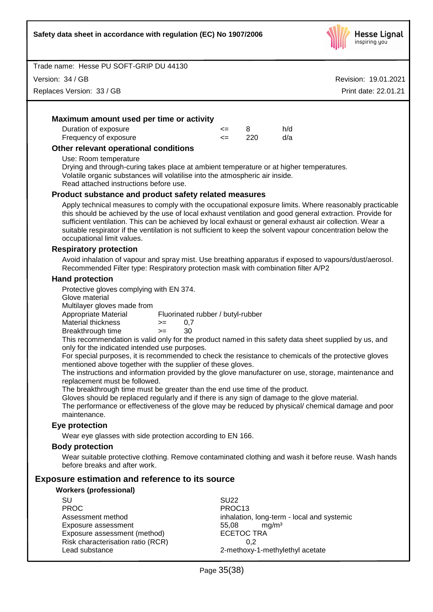

Version: 34 / GB

Replaces Version: 33 / GB

Revision: 19.01.2021 Print date: 22.01.21

# **Maximum amount used per time or activity** Duration of exposure  $\leftarrow$  8 h/d Frequency of exposure <= 220 d/a **Other relevant operational conditions**

Use: Room temperature

Drying and through-curing takes place at ambient temperature or at higher temperatures. Volatile organic substances will volatilise into the atmospheric air inside.

Read attached instructions before use.

## **Product substance and product safety related measures**

Apply technical measures to comply with the occupational exposure limits. Where reasonably practicable this should be achieved by the use of local exhaust ventilation and good general extraction. Provide for sufficient ventilation. This can be achieved by local exhaust or general exhaust air collection. Wear a suitable respirator if the ventilation is not sufficient to keep the solvent vapour concentration below the occupational limit values.

#### **Respiratory protection**

Avoid inhalation of vapour and spray mist. Use breathing apparatus if exposed to vapours/dust/aerosol. Recommended Filter type: Respiratory protection mask with combination filter A/P2

#### **Hand protection**

Protective gloves complying with EN 374.

Glove material

Multilayer gloves made from

Appropriate Material Fluorinated rubber / butyl-rubber

Material thickness  $> = 0.7$ 

Breakthrough time >= 30

This recommendation is valid only for the product named in this safety data sheet supplied by us, and only for the indicated intended use purposes.

For special purposes, it is recommended to check the resistance to chemicals of the protective gloves mentioned above together with the supplier of these gloves.

The instructions and information provided by the glove manufacturer on use, storage, maintenance and replacement must be followed.

The breakthrough time must be greater than the end use time of the product.

Gloves should be replaced regularly and if there is any sign of damage to the glove material.

The performance or effectiveness of the glove may be reduced by physical/ chemical damage and poor maintenance.

# **Eye protection**

Wear eye glasses with side protection according to EN 166.

#### **Body protection**

Wear suitable protective clothing. Remove contaminated clothing and wash it before reuse. Wash hands before breaks and after work.

# **Exposure estimation and reference to its source**

#### **Workers (professional)**

| SU                                | SU <sub>22</sub>                           |
|-----------------------------------|--------------------------------------------|
| <b>PROC</b>                       | PROC <sub>13</sub>                         |
| Assessment method                 | inhalation, long-term - local and systemic |
| Exposure assessment               | ma/m <sup>3</sup><br>55.08                 |
| Exposure assessment (method)      | <b>ECETOC TRA</b>                          |
| Risk characterisation ratio (RCR) | 0.2                                        |
| Lead substance                    | 2-methoxy-1-methylethyl acetate            |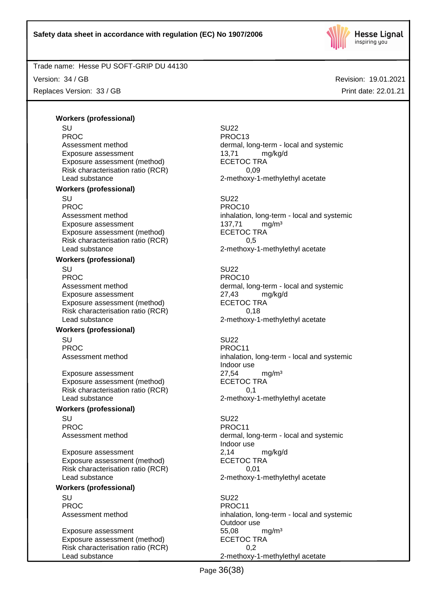

Version: 34 / GB

Replaces Version: 33 / GB

Revision: 19.01.2021 Print date: 22.01.21

# **Workers (professional)**

SU SU22 PROC PROC13 Exposure assessment and the 13,71 mg/kg/d Exposure assessment (method) ECETOC TRA Risk characterisation ratio (RCR) 0,09 Lead substance 2-methoxy-1-methylethyl acetate **Workers (professional)** SU SU22 PROC PROCTES PROCTES PROCTES Exposure assessment discussed assessment method) and the CETOC TRA manuform assessment (method) and the ECETOC TRA Exposure assessment (method) Risk characterisation ratio (RCR) 6.5 Lead substance example 2-methoxy-1-methylethyl acetate

#### **Workers (professional)**

SU SU22 PROC PROC10 Exposure assessment <br>
Exposure assessment (method) 
ECETOC TRA Exposure assessment (method) Risk characterisation ratio (RCR) 0,18 Lead substance 2-methoxy-1-methylethyl acetate

#### **Workers (professional)**

SU SU22 PROC PROCTER PROCTER PROCTER PROCTER PROCTER PROCTER PROCTER PROCTER PROCTER PROCTER PROCTER PROCTER PROCTER PROCTER PROCTER PROCTER PROCTER PROCTER PROCTER PROCTER PROCTER PROCTER PROCTER PROCTER PROCTER PROCTER PROCTER P

Exposure assessment  $27,54$  mg/m<sup>3</sup><br>Exposure assessment (method) ECETOC TRA Exposure assessment (method) Risk characterisation ratio (RCR) 0,1 Lead substance **2-methoxy-1-methylethyl** acetate

#### **Workers (professional)**

SU SU22 PROC PROCHES PROC11

Exposure assessment <br>
Exposure assessment (method) 
<br>
ECETOC TRA Exposure assessment (method) Risk characterisation ratio (RCR) 0,01 Lead substance **2-methoxy-1-methylethyl** acetate

#### **Workers (professional)**

SU SU22 PROC PROCTER PROCTER PROCTER PROCTER PROCTER PROCTER PROCTER PROCTER PROCTER PROCTER PROCTER PROCTER PROCTER PROCTER PROCTER PROCTER PROCTER PROCTER PROCTER PROCTER PROCTER PROCTER PROCTER PROCTER PROCTER PROCTER PROCTER P

Exposure assessment 65,08 mg/m<sup>3</sup> Exposure assessment (method) ECETOC TRA Risk characterisation ratio (RCR) 0,2 Lead substance **2-methoxy-1-methylethyl** acetate

Assessment method dermal, long-term - local and systemic

Assessment method inhalation, long-term - local and systemic

Assessment method<br>
Exposure assessment<br>  $27,43$  mg/kg/d<br>  $27,43$  mg/kg/d

Assessment method inhalation, long-term - local and systemic Indoor use

Assessment method dermal, long-term - local and systemic Indoor use

Assessment method inhalation, long-term - local and systemic Outdoor use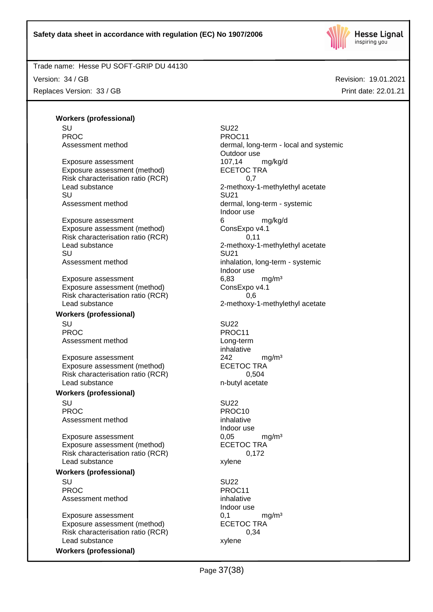

Version: 34 / GB Replaces Version: 33 / GB Revision: 19.01.2021 Print date: 22.01.21

#### **Workers (professional)** SU SU22

PROC PROCHES PROC11

Exposure assessment 107,14 mg/kg/d Exposure assessment (method) ECETOC TRA Risk characterisation ratio (RCR)  $0.7$ <br>Lead substance  $2$ -methoxy-SU SU21

Exposure assessment 6 and 6 mg/kg/d Exposure assessment (method) ConsExpo v4.1 Risk characterisation ratio (RCR) 0,11 Lead substance 2-methoxy-1-methylethyl acetate SU SU21 Assessment method inhalation, long-term - systemic

Exposure assessment 6,83 mg/m<sup>3</sup> Exposure assessment (method) ConsExpo v4.1 Risk characterisation ratio (RCR) 0,6 Lead substance **2-methoxy-1-methylethyl** acetate

#### **Workers (professional)**

SU SU22 PROC PROCTES PROCTES PROCTES Assessment method by a long-term

Exposure assessment <br>
Exposure assessment (method) 
<br>
EXPOSURE 242 Exposure assessment (method) Risk characterisation ratio (RCR) 0,504 Lead substance n-butyl acetate

#### **Workers (professional)**

SU SU22 PROC PROCTES PROCTES PROCTES Assessment method inhalative inhalative

Exposure assessment determines to the U,05 mg/m<sup>3</sup><br>Exposure assessment (method) ECETOC TRA Exposure assessment (method) Risk characterisation ratio (RCR) 0,172 Lead substance xylene

# **Workers (professional)**

SU SU22 PROC PROCTER PROCTER PROCTER PROCTER PROCTER PROCTER PROCTER PROCTER PROCTER PROCTER PROCTER PROCTER PROCTER PROCTER PROCTER PROCTER PROCTER PROCTER PROCTER PROCTER PROCTER PROCTER PROCTER PROCTER PROCTER PROCTER PROCTER P Assessment method inhalative

Exposure assessment 6,1 mg/m<sup>3</sup> Exposure assessment (method) ECETOC TRA Risk characterisation ratio (RCR) 0,34 Lead substance xylene

**Workers (professional)**

Assessment method dermal, long-term - local and systemic Outdoor use 2-methoxy-1-methylethyl acetate Assessment method dermal, long-term - systemic Indoor use Indoor use

inhalative

# Indoor use

Indoor use